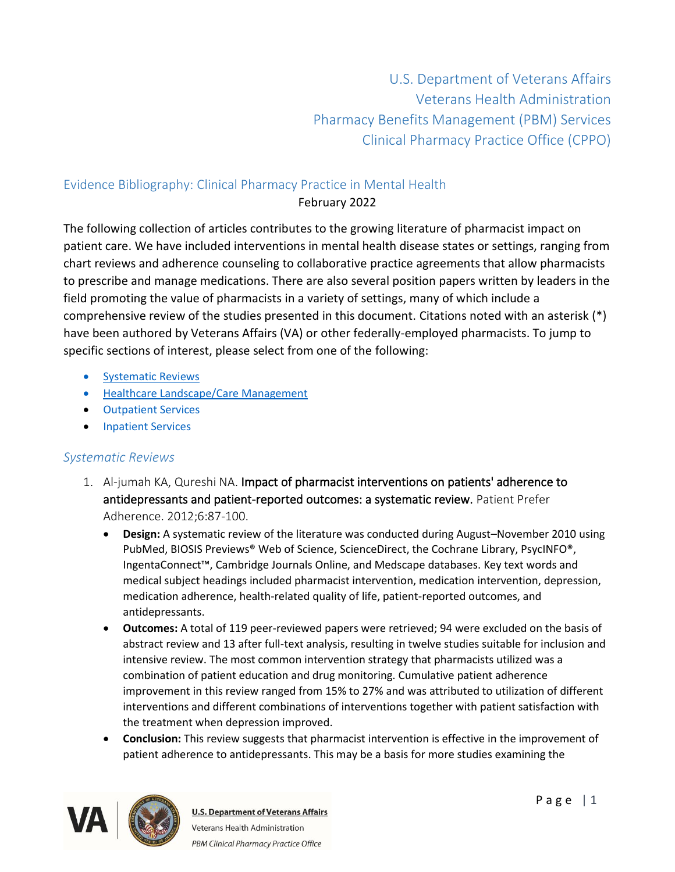U.S. Department of Veterans Affairs Veterans Health Administration Pharmacy Benefits Management (PBM) Services Clinical Pharmacy Practice Office (CPPO)

### Evidence Bibliography: Clinical Pharmacy Practice in Mental Health February 2022

The following collection of articles contributes to the growing literature of pharmacist impact on patient care. We have included interventions in mental health disease states or settings, ranging from chart reviews and adherence counseling to collaborative practice agreements that allow pharmacists to prescribe and manage medications. There are also several position papers written by leaders in the field promoting the value of pharmacists in a variety of settings, many of which include a comprehensive review of the studies presented in this document. Citations noted with an asterisk (\*) have been authored by Veterans Affairs (VA) or other federally-employed pharmacists. To jump to specific sections of interest, please select from one of the following:

- Systematic Reviews
- [Healthcare Landscape/Care Management](#page-2-0)
- Outpatient Services
- [Inpatient Services](#page-27-0)

### *Systematic Reviews*

- 1. Al-jumah KA, Qureshi NA. Impact of pharmacist interventions on patients' adherence to antidepressants and patient-reported outcomes: a systematic review. Patient Prefer Adherence. 2012;6:87-100.
	- **Design:** A systematic review of the literature was conducted during August–November 2010 using PubMed, BIOSIS Previews® Web of Science, ScienceDirect, the Cochrane Library, PsycINFO®, IngentaConnect™, Cambridge Journals Online, and Medscape databases. Key text words and medical subject headings included pharmacist intervention, medication intervention, depression, medication adherence, health-related quality of life, patient-reported outcomes, and antidepressants.
	- **Outcomes:** A total of 119 peer-reviewed papers were retrieved; 94 were excluded on the basis of abstract review and 13 after full-text analysis, resulting in twelve studies suitable for inclusion and intensive review. The most common intervention strategy that pharmacists utilized was a combination of patient education and drug monitoring. Cumulative patient adherence improvement in this review ranged from 15% to 27% and was attributed to utilization of different interventions and different combinations of interventions together with patient satisfaction with the treatment when depression improved.
	- **Conclusion:** This review suggests that pharmacist intervention is effective in the improvement of patient adherence to antidepressants. This may be a basis for more studies examining the

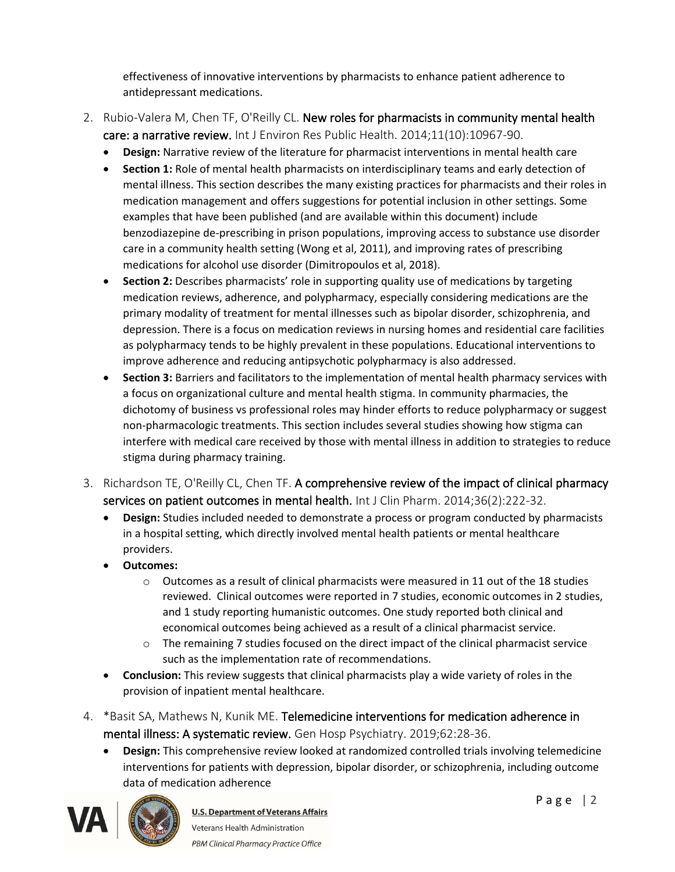effectiveness of innovative interventions by pharmacists to enhance patient adherence to antidepressant medications.

- 2. Rubio-Valera M, Chen TF, O'Reilly CL. New roles for pharmacists in community mental health care: a narrative review. Int J Environ Res Public Health. 2014;11(10):10967-90.
	- **Design:** Narrative review of the literature for pharmacist interventions in mental health care
	- **Section 1:** Role of mental health pharmacists on interdisciplinary teams and early detection of mental illness. This section describes the many existing practices for pharmacists and their roles in medication management and offers suggestions for potential inclusion in other settings. Some examples that have been published (and are available within this document) include benzodiazepine de-prescribing in prison populations, improving access to substance use disorder care in a community health setting (Wong et al, 2011), and improving rates of prescribing medications for alcohol use disorder (Dimitropoulos et al, 2018).
	- **Section 2:** Describes pharmacists' role in supporting quality use of medications by targeting medication reviews, adherence, and polypharmacy, especially considering medications are the primary modality of treatment for mental illnesses such as bipolar disorder, schizophrenia, and depression. There is a focus on medication reviews in nursing homes and residential care facilities as polypharmacy tends to be highly prevalent in these populations. Educational interventions to improve adherence and reducing antipsychotic polypharmacy is also addressed.
	- **Section 3:** Barriers and facilitators to the implementation of mental health pharmacy services with a focus on organizational culture and mental health stigma. In community pharmacies, the dichotomy of business vs professional roles may hinder efforts to reduce polypharmacy or suggest non-pharmacologic treatments. This section includes several studies showing how stigma can interfere with medical care received by those with mental illness in addition to strategies to reduce stigma during pharmacy training.
- 3. Richardson TE, O'Reilly CL, Chen TF. A comprehensive review of the impact of clinical pharmacy services on patient outcomes in mental health. Int J Clin Pharm. 2014;36(2):222-32.
	- **Design:** Studies included needed to demonstrate a process or program conducted by pharmacists in a hospital setting, which directly involved mental health patients or mental healthcare providers.
	- **Outcomes:** 
		- $\circ$  Outcomes as a result of clinical pharmacists were measured in 11 out of the 18 studies reviewed. Clinical outcomes were reported in 7 studies, economic outcomes in 2 studies, and 1 study reporting humanistic outcomes. One study reported both clinical and economical outcomes being achieved as a result of a clinical pharmacist service.
		- o The remaining 7 studies focused on the direct impact of the clinical pharmacist service such as the implementation rate of recommendations.
	- **Conclusion:** This review suggests that clinical pharmacists play a wide variety of roles in the provision of inpatient mental healthcare.
- 4. \*Basit SA, Mathews N, Kunik ME. Telemedicine interventions for medication adherence in mental illness: A systematic review. Gen Hosp Psychiatry. 2019;62:28-36.
	- **Design:** This comprehensive review looked at randomized controlled trials involving telemedicine interventions for patients with depression, bipolar disorder, or schizophrenia, including outcome data of medication adherence

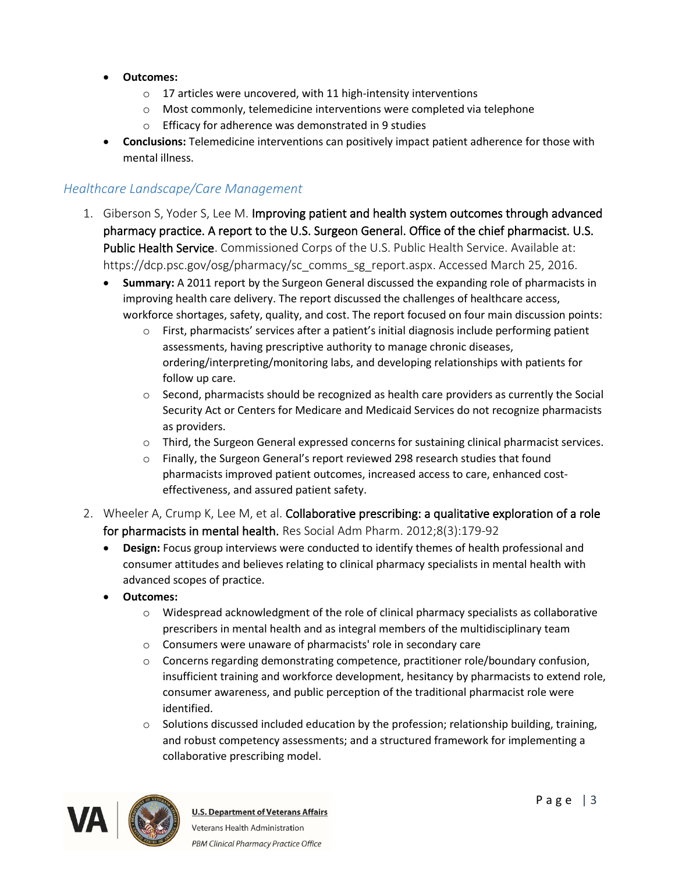- **Outcomes:**
	- o 17 articles were uncovered, with 11 high-intensity interventions
	- o Most commonly, telemedicine interventions were completed via telephone
	- o Efficacy for adherence was demonstrated in 9 studies
- **Conclusions:** Telemedicine interventions can positively impact patient adherence for those with mental illness.

#### <span id="page-2-0"></span>*Healthcare Landscape/Care Management*

- 1. Giberson S, Yoder S, Lee M. Improving patient and health system outcomes through advanced pharmacy practice. A report to the U.S. Surgeon General. Office of the chief pharmacist. U.S. Public Health Service. Commissioned Corps of the U.S. Public Health Service. Available at: https://dcp.psc.gov/osg/pharmacy/sc\_comms\_sg\_report.aspx. Accessed March 25, 2016.
	- **Summary:** A 2011 report by the Surgeon General discussed the expanding role of pharmacists in improving health care delivery. The report discussed the challenges of healthcare access, workforce shortages, safety, quality, and cost. The report focused on four main discussion points:
		- $\circ$  First, pharmacists' services after a patient's initial diagnosis include performing patient assessments, having prescriptive authority to manage chronic diseases, ordering/interpreting/monitoring labs, and developing relationships with patients for follow up care.
		- $\circ$  Second, pharmacists should be recognized as health care providers as currently the Social Security Act or Centers for Medicare and Medicaid Services do not recognize pharmacists as providers.
		- o Third, the Surgeon General expressed concerns for sustaining clinical pharmacist services.
		- o Finally, the Surgeon General's report reviewed 298 research studies that found pharmacists improved patient outcomes, increased access to care, enhanced costeffectiveness, and assured patient safety.
- 2. Wheeler A, Crump K, Lee M, et al. Collaborative prescribing: a qualitative exploration of a role for pharmacists in mental health. Res Social Adm Pharm. 2012;8(3):179-92
	- **Design:** Focus group interviews were conducted to identify themes of health professional and consumer attitudes and believes relating to clinical pharmacy specialists in mental health with advanced scopes of practice.
	- **Outcomes:** 
		- $\circ$  Widespread acknowledgment of the role of clinical pharmacy specialists as collaborative prescribers in mental health and as integral members of the multidisciplinary team
		- o Consumers were unaware of pharmacists' role in secondary care
		- $\circ$  Concerns regarding demonstrating competence, practitioner role/boundary confusion, insufficient training and workforce development, hesitancy by pharmacists to extend role, consumer awareness, and public perception of the traditional pharmacist role were identified.
		- $\circ$  Solutions discussed included education by the profession; relationship building, training, and robust competency assessments; and a structured framework for implementing a collaborative prescribing model.

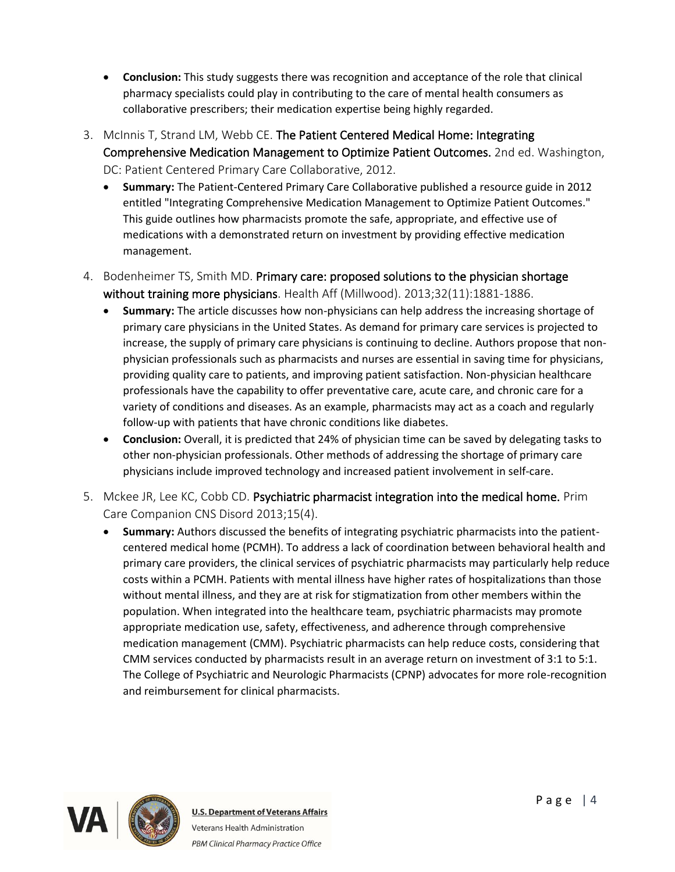- **Conclusion:** This study suggests there was recognition and acceptance of the role that clinical pharmacy specialists could play in contributing to the care of mental health consumers as collaborative prescribers; their medication expertise being highly regarded.
- 3. McInnis T, Strand LM, Webb CE. The Patient Centered Medical Home: Integrating Comprehensive Medication Management to Optimize Patient Outcomes. 2nd ed. Washington, DC: Patient Centered Primary Care Collaborative, 2012.
	- **Summary:** The Patient-Centered Primary Care Collaborative published a resource guide in 2012 entitled "Integrating Comprehensive Medication Management to Optimize Patient Outcomes." This guide outlines how pharmacists promote the safe, appropriate, and effective use of medications with a demonstrated return on investment by providing effective medication management.
- 4. Bodenheimer TS, Smith MD. Primary care: proposed solutions to the physician shortage without training more physicians. Health Aff (Millwood). 2013;32(11):1881-1886.
	- **Summary:** The article discusses how non-physicians can help address the increasing shortage of primary care physicians in the United States. As demand for primary care services is projected to increase, the supply of primary care physicians is continuing to decline. Authors propose that nonphysician professionals such as pharmacists and nurses are essential in saving time for physicians, providing quality care to patients, and improving patient satisfaction. Non-physician healthcare professionals have the capability to offer preventative care, acute care, and chronic care for a variety of conditions and diseases. As an example, pharmacists may act as a coach and regularly follow-up with patients that have chronic conditions like diabetes.
	- **Conclusion:** Overall, it is predicted that 24% of physician time can be saved by delegating tasks to other non-physician professionals. Other methods of addressing the shortage of primary care physicians include improved technology and increased patient involvement in self-care.
- 5. Mckee JR, Lee KC, Cobb CD. Psychiatric pharmacist integration into the medical home. Prim Care Companion CNS Disord 2013;15(4).
	- **Summary:** Authors discussed the benefits of integrating psychiatric pharmacists into the patientcentered medical home (PCMH). To address a lack of coordination between behavioral health and primary care providers, the clinical services of psychiatric pharmacists may particularly help reduce costs within a PCMH. Patients with mental illness have higher rates of hospitalizations than those without mental illness, and they are at risk for stigmatization from other members within the population. When integrated into the healthcare team, psychiatric pharmacists may promote appropriate medication use, safety, effectiveness, and adherence through comprehensive medication management (CMM). Psychiatric pharmacists can help reduce costs, considering that CMM services conducted by pharmacists result in an average return on investment of 3:1 to 5:1. The College of Psychiatric and Neurologic Pharmacists (CPNP) advocates for more role-recognition and reimbursement for clinical pharmacists.

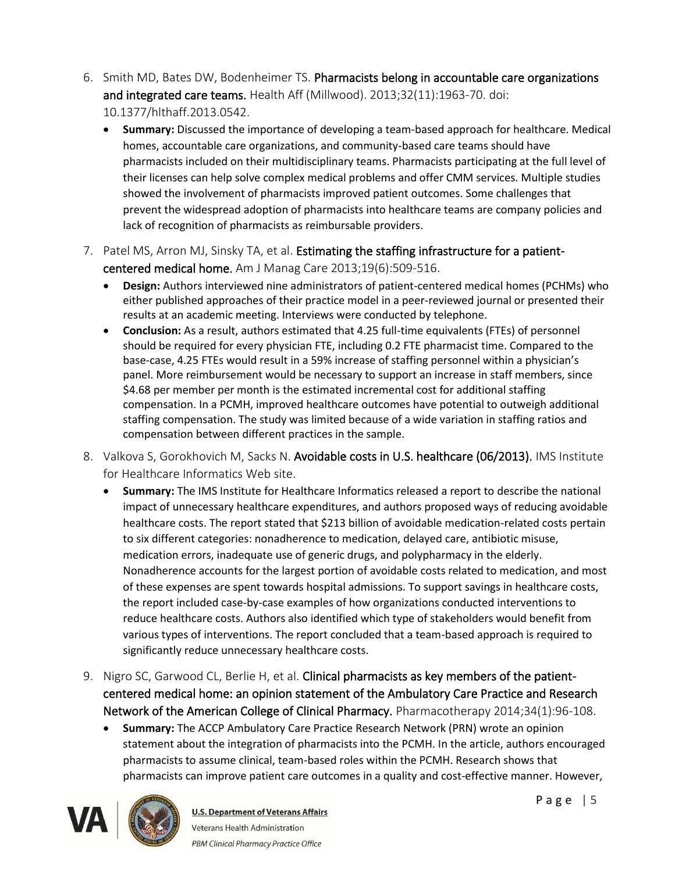- 6. Smith MD, Bates DW, Bodenheimer TS. Pharmacists belong in accountable care organizations and integrated care teams. Health Aff (Millwood). 2013;32(11):1963-70. doi: 10.1377/hlthaff.2013.0542.
	- **Summary:** Discussed the importance of developing a team-based approach for healthcare. Medical homes, accountable care organizations, and community-based care teams should have pharmacists included on their multidisciplinary teams. Pharmacists participating at the full level of their licenses can help solve complex medical problems and offer CMM services. Multiple studies showed the involvement of pharmacists improved patient outcomes. Some challenges that prevent the widespread adoption of pharmacists into healthcare teams are company policies and lack of recognition of pharmacists as reimbursable providers.
- 7. Patel MS, Arron MJ, Sinsky TA, et al. Estimating the staffing infrastructure for a patientcentered medical home. Am J Manag Care 2013;19(6):509-516.
	- **Design:** Authors interviewed nine administrators of patient-centered medical homes (PCHMs) who either published approaches of their practice model in a peer-reviewed journal or presented their results at an academic meeting. Interviews were conducted by telephone.
	- **Conclusion:** As a result, authors estimated that 4.25 full-time equivalents (FTEs) of personnel should be required for every physician FTE, including 0.2 FTE pharmacist time. Compared to the base-case, 4.25 FTEs would result in a 59% increase of staffing personnel within a physician's panel. More reimbursement would be necessary to support an increase in staff members, since \$4.68 per member per month is the estimated incremental cost for additional staffing compensation. In a PCMH, improved healthcare outcomes have potential to outweigh additional staffing compensation. The study was limited because of a wide variation in staffing ratios and compensation between different practices in the sample.
- 8. Valkova S, Gorokhovich M, Sacks N. Avoidable costs in U.S. healthcare (06/2013). IMS Institute for Healthcare Informatics Web site.
	- **Summary:** The IMS Institute for Healthcare Informatics released a report to describe the national impact of unnecessary healthcare expenditures, and authors proposed ways of reducing avoidable healthcare costs. The report stated that \$213 billion of avoidable medication-related costs pertain to six different categories: nonadherence to medication, delayed care, antibiotic misuse, medication errors, inadequate use of generic drugs, and polypharmacy in the elderly. Nonadherence accounts for the largest portion of avoidable costs related to medication, and most of these expenses are spent towards hospital admissions. To support savings in healthcare costs, the report included case-by-case examples of how organizations conducted interventions to reduce healthcare costs. Authors also identified which type of stakeholders would benefit from various types of interventions. The report concluded that a team-based approach is required to significantly reduce unnecessary healthcare costs.
- 9. Nigro SC, Garwood CL, Berlie H, et al. Clinical pharmacists as key members of the patientcentered medical home: an opinion statement of the Ambulatory Care Practice and Research Network of the American College of Clinical Pharmacy. Pharmacotherapy 2014;34(1):96-108.
	- **Summary:** The ACCP Ambulatory Care Practice Research Network (PRN) wrote an opinion statement about the integration of pharmacists into the PCMH. In the article, authors encouraged pharmacists to assume clinical, team-based roles within the PCMH. Research shows that pharmacists can improve patient care outcomes in a quality and cost-effective manner. However,

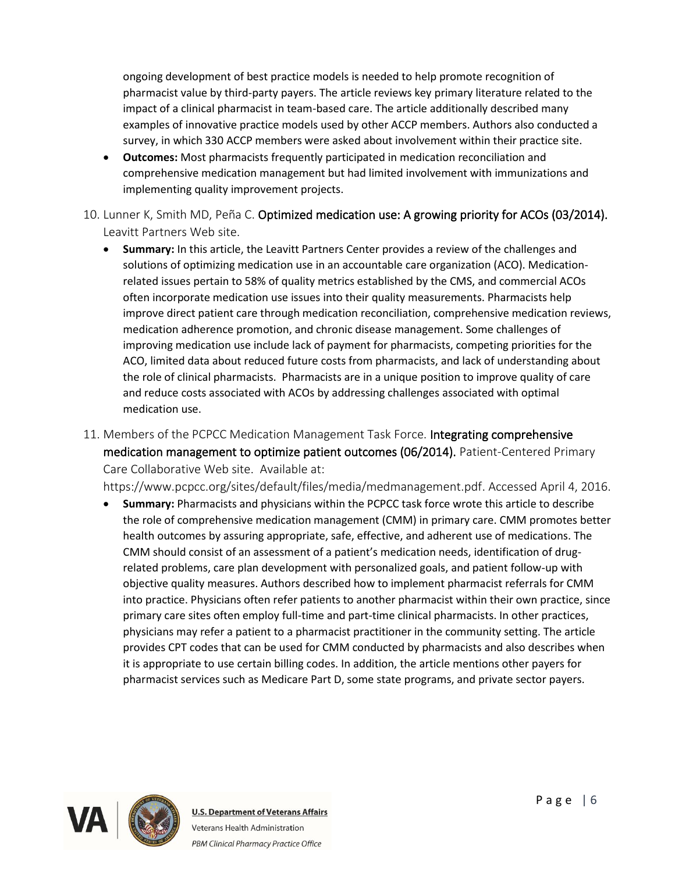ongoing development of best practice models is needed to help promote recognition of pharmacist value by third-party payers. The article reviews key primary literature related to the impact of a clinical pharmacist in team-based care. The article additionally described many examples of innovative practice models used by other ACCP members. Authors also conducted a survey, in which 330 ACCP members were asked about involvement within their practice site.

- **Outcomes:** Most pharmacists frequently participated in medication reconciliation and comprehensive medication management but had limited involvement with immunizations and implementing quality improvement projects.
- 10. Lunner K, Smith MD, Peña C. Optimized medication use: A growing priority for ACOs (03/2014). Leavitt Partners Web site.
	- **Summary:** In this article, the Leavitt Partners Center provides a review of the challenges and solutions of optimizing medication use in an accountable care organization (ACO). Medicationrelated issues pertain to 58% of quality metrics established by the CMS, and commercial ACOs often incorporate medication use issues into their quality measurements. Pharmacists help improve direct patient care through medication reconciliation, comprehensive medication reviews, medication adherence promotion, and chronic disease management. Some challenges of improving medication use include lack of payment for pharmacists, competing priorities for the ACO, limited data about reduced future costs from pharmacists, and lack of understanding about the role of clinical pharmacists. Pharmacists are in a unique position to improve quality of care and reduce costs associated with ACOs by addressing challenges associated with optimal medication use.
- 11. Members of the PCPCC Medication Management Task Force. Integrating comprehensive medication management to optimize patient outcomes (06/2014). Patient-Centered Primary Care Collaborative Web site. Available at:

https://www.pcpcc.org/sites/default/files/media/medmanagement.pdf. Accessed April 4, 2016.

• **Summary:** Pharmacists and physicians within the PCPCC task force wrote this article to describe the role of comprehensive medication management (CMM) in primary care. CMM promotes better health outcomes by assuring appropriate, safe, effective, and adherent use of medications. The CMM should consist of an assessment of a patient's medication needs, identification of drugrelated problems, care plan development with personalized goals, and patient follow-up with objective quality measures. Authors described how to implement pharmacist referrals for CMM into practice. Physicians often refer patients to another pharmacist within their own practice, since primary care sites often employ full-time and part-time clinical pharmacists. In other practices, physicians may refer a patient to a pharmacist practitioner in the community setting. The article provides CPT codes that can be used for CMM conducted by pharmacists and also describes when it is appropriate to use certain billing codes. In addition, the article mentions other payers for pharmacist services such as Medicare Part D, some state programs, and private sector payers.

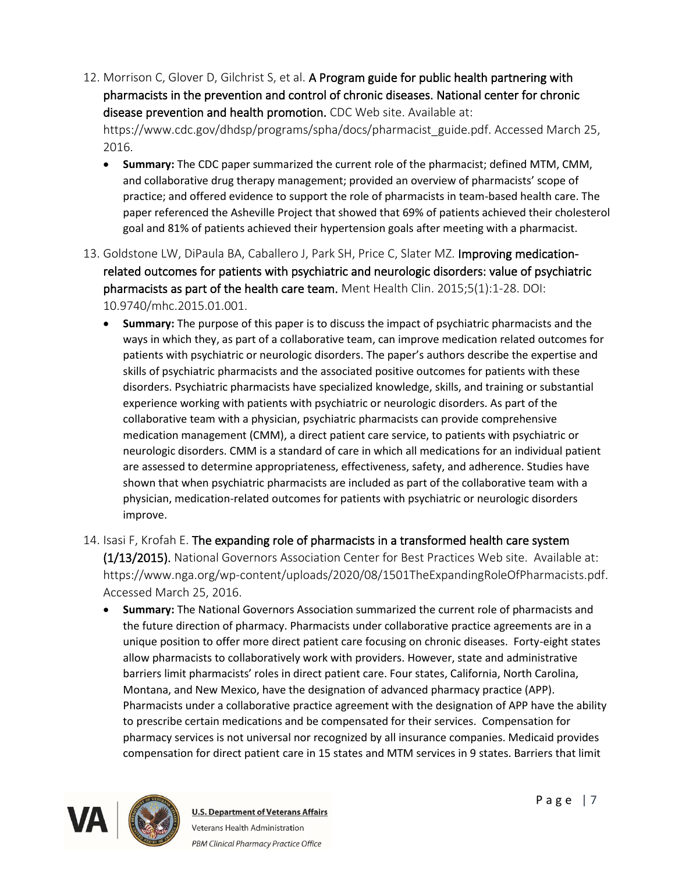12. Morrison C, Glover D, Gilchrist S, et al. A Program guide for public health partnering with pharmacists in the prevention and control of chronic diseases. National center for chronic disease prevention and health promotion. CDC Web site. Available at: https://www.cdc.gov/dhdsp/programs/spha/docs/pharmacist\_guide.pdf. Accessed March 25,

2016.

- **Summary:** The CDC paper summarized the current role of the pharmacist; defined MTM, CMM, and collaborative drug therapy management; provided an overview of pharmacists' scope of practice; and offered evidence to support the role of pharmacists in team-based health care. The paper referenced the Asheville Project that showed that 69% of patients achieved their cholesterol goal and 81% of patients achieved their hypertension goals after meeting with a pharmacist.
- 13. Goldstone LW, DiPaula BA, Caballero J, Park SH, Price C, Slater MZ. Improving medicationrelated outcomes for patients with psychiatric and neurologic disorders: value of psychiatric pharmacists as part of the health care team. Ment Health Clin. 2015;5(1):1-28. DOI: 10.9740/mhc.2015.01.001.
	- **Summary:** The purpose of this paper is to discuss the impact of psychiatric pharmacists and the ways in which they, as part of a collaborative team, can improve medication related outcomes for patients with psychiatric or neurologic disorders. The paper's authors describe the expertise and skills of psychiatric pharmacists and the associated positive outcomes for patients with these disorders. Psychiatric pharmacists have specialized knowledge, skills, and training or substantial experience working with patients with psychiatric or neurologic disorders. As part of the collaborative team with a physician, psychiatric pharmacists can provide comprehensive medication management (CMM), a direct patient care service, to patients with psychiatric or neurologic disorders. CMM is a standard of care in which all medications for an individual patient are assessed to determine appropriateness, effectiveness, safety, and adherence. Studies have shown that when psychiatric pharmacists are included as part of the collaborative team with a physician, medication-related outcomes for patients with psychiatric or neurologic disorders improve.

14. Isasi F, Krofah E. The expanding role of pharmacists in a transformed health care system (1/13/2015). National Governors Association Center for Best Practices Web site. Available at: https://www.nga.org/wp-content/uploads/2020/08/1501TheExpandingRoleOfPharmacists.pdf. Accessed March 25, 2016.

• **Summary:** The National Governors Association summarized the current role of pharmacists and the future direction of pharmacy. Pharmacists under collaborative practice agreements are in a unique position to offer more direct patient care focusing on chronic diseases. Forty-eight states allow pharmacists to collaboratively work with providers. However, state and administrative barriers limit pharmacists' roles in direct patient care. Four states, California, North Carolina, Montana, and New Mexico, have the designation of advanced pharmacy practice (APP). Pharmacists under a collaborative practice agreement with the designation of APP have the ability to prescribe certain medications and be compensated for their services. Compensation for pharmacy services is not universal nor recognized by all insurance companies. Medicaid provides compensation for direct patient care in 15 states and MTM services in 9 states. Barriers that limit

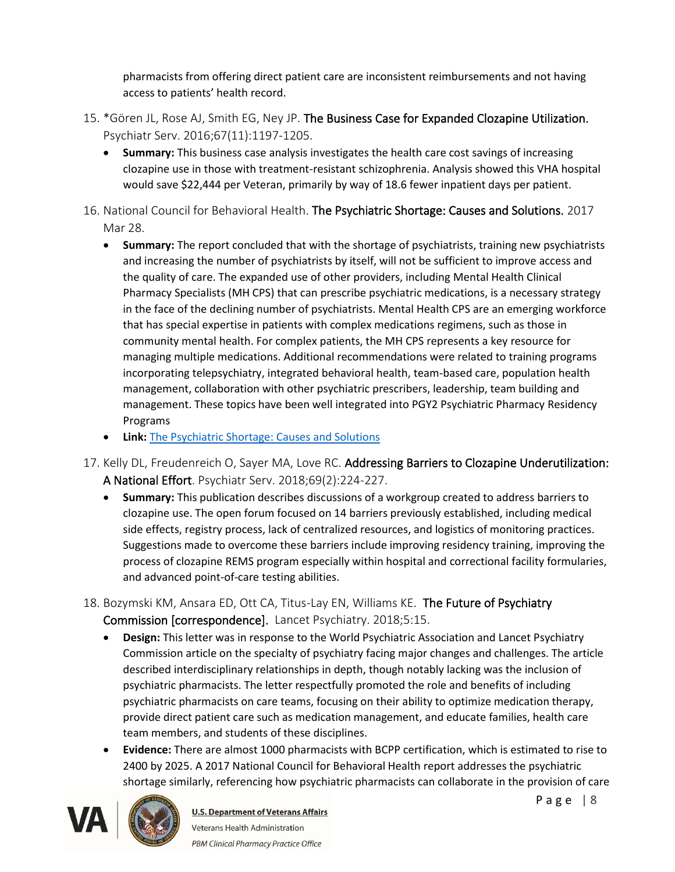pharmacists from offering direct patient care are inconsistent reimbursements and not having access to patients' health record.

- 15. \*Gören JL, Rose AJ, Smith EG, Ney JP. The Business Case for Expanded Clozapine Utilization. Psychiatr Serv. 2016;67(11):1197-1205.
	- **Summary:** This business case analysis investigates the health care cost savings of increasing clozapine use in those with treatment-resistant schizophrenia. Analysis showed this VHA hospital would save \$22,444 per Veteran, primarily by way of 18.6 fewer inpatient days per patient.
- 16. National Council for Behavioral Health. The Psychiatric Shortage: Causes and Solutions. 2017 Mar 28.
	- **Summary:** The report concluded that with the shortage of psychiatrists, training new psychiatrists and increasing the number of psychiatrists by itself, will not be sufficient to improve access and the quality of care. The expanded use of other providers, including Mental Health Clinical Pharmacy Specialists (MH CPS) that can prescribe psychiatric medications, is a necessary strategy in the face of the declining number of psychiatrists. Mental Health CPS are an emerging workforce that has special expertise in patients with complex medications regimens, such as those in community mental health. For complex patients, the MH CPS represents a key resource for managing multiple medications. Additional recommendations were related to training programs incorporating telepsychiatry, integrated behavioral health, team-based care, population health management, collaboration with other psychiatric prescribers, leadership, team building and management. These topics have been well integrated into PGY2 Psychiatric Pharmacy Residency Programs
	- **Link:** [The Psychiatric Shortage: Causes and Solutions](https://www.thenationalcouncil.org/wp-content/uploads/2017/03/Psychiatric-Shortage_National-Council-.pdf)
- 17. Kelly DL, Freudenreich O, Sayer MA, Love RC. Addressing Barriers to Clozapine Underutilization: A National Effort. Psychiatr Serv. 2018;69(2):224-227.
	- **Summary:** This publication describes discussions of a workgroup created to address barriers to clozapine use. The open forum focused on 14 barriers previously established, including medical side effects, registry process, lack of centralized resources, and logistics of monitoring practices. Suggestions made to overcome these barriers include improving residency training, improving the process of clozapine REMS program especially within hospital and correctional facility formularies, and advanced point-of-care testing abilities.
- 18. Bozymski KM, Ansara ED, Ott CA, Titus-Lay EN, Williams KE. The Future of Psychiatry Commission [correspondence]. Lancet Psychiatry. 2018;5:15.
	- **Design:** This letter was in response to the World Psychiatric Association and Lancet Psychiatry Commission article on the specialty of psychiatry facing major changes and challenges. The article described interdisciplinary relationships in depth, though notably lacking was the inclusion of psychiatric pharmacists. The letter respectfully promoted the role and benefits of including psychiatric pharmacists on care teams, focusing on their ability to optimize medication therapy, provide direct patient care such as medication management, and educate families, health care team members, and students of these disciplines.
	- **Evidence:** There are almost 1000 pharmacists with BCPP certification, which is estimated to rise to 2400 by 2025. A 2017 National Council for Behavioral Health report addresses the psychiatric shortage similarly, referencing how psychiatric pharmacists can collaborate in the provision of care



Page  $|8$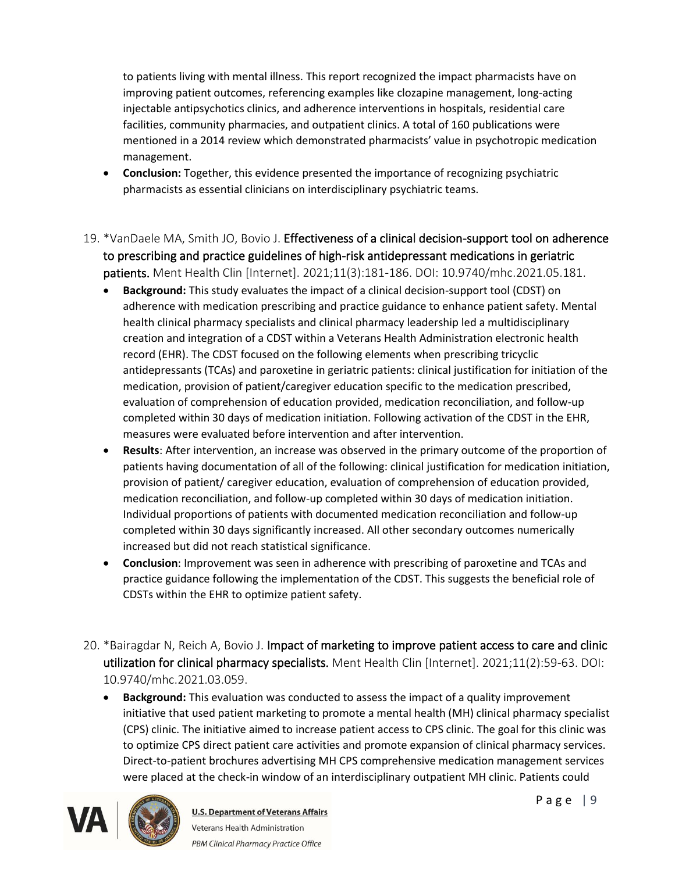to patients living with mental illness. This report recognized the impact pharmacists have on improving patient outcomes, referencing examples like clozapine management, long-acting injectable antipsychotics clinics, and adherence interventions in hospitals, residential care facilities, community pharmacies, and outpatient clinics. A total of 160 publications were mentioned in a 2014 review which demonstrated pharmacists' value in psychotropic medication management.

- **Conclusion:** Together, this evidence presented the importance of recognizing psychiatric pharmacists as essential clinicians on interdisciplinary psychiatric teams.
- 19. \*VanDaele MA, Smith JO, Bovio J. Effectiveness of a clinical decision-support tool on adherence to prescribing and practice guidelines of high-risk antidepressant medications in geriatric patients. Ment Health Clin [Internet]. 2021;11(3):181-186. DOI: 10.9740/mhc.2021.05.181.
	- **Background:** This study evaluates the impact of a clinical decision-support tool (CDST) on adherence with medication prescribing and practice guidance to enhance patient safety. Mental health clinical pharmacy specialists and clinical pharmacy leadership led a multidisciplinary creation and integration of a CDST within a Veterans Health Administration electronic health record (EHR). The CDST focused on the following elements when prescribing tricyclic antidepressants (TCAs) and paroxetine in geriatric patients: clinical justification for initiation of the medication, provision of patient/caregiver education specific to the medication prescribed, evaluation of comprehension of education provided, medication reconciliation, and follow-up completed within 30 days of medication initiation. Following activation of the CDST in the EHR, measures were evaluated before intervention and after intervention.
	- **Results**: After intervention, an increase was observed in the primary outcome of the proportion of patients having documentation of all of the following: clinical justification for medication initiation, provision of patient/ caregiver education, evaluation of comprehension of education provided, medication reconciliation, and follow-up completed within 30 days of medication initiation. Individual proportions of patients with documented medication reconciliation and follow-up completed within 30 days significantly increased. All other secondary outcomes numerically increased but did not reach statistical significance.
	- **Conclusion**: Improvement was seen in adherence with prescribing of paroxetine and TCAs and practice guidance following the implementation of the CDST. This suggests the beneficial role of CDSTs within the EHR to optimize patient safety.
- 20. \*Bairagdar N, Reich A, Bovio J. Impact of marketing to improve patient access to care and clinic utilization for clinical pharmacy specialists. Ment Health Clin [Internet]. 2021;11(2):59-63. DOI: 10.9740/mhc.2021.03.059.
	- **Background:** This evaluation was conducted to assess the impact of a quality improvement initiative that used patient marketing to promote a mental health (MH) clinical pharmacy specialist (CPS) clinic. The initiative aimed to increase patient access to CPS clinic. The goal for this clinic was to optimize CPS direct patient care activities and promote expansion of clinical pharmacy services. Direct-to-patient brochures advertising MH CPS comprehensive medication management services were placed at the check-in window of an interdisciplinary outpatient MH clinic. Patients could



**U.S. Department of Veterans Affairs** Veterans Health Administration PBM Clinical Pharmacy Practice Office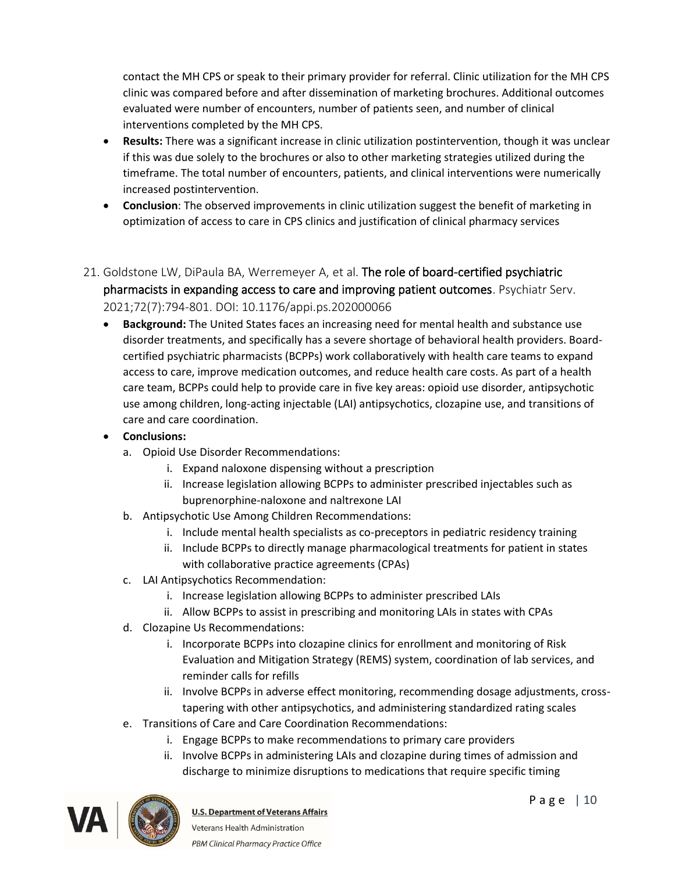contact the MH CPS or speak to their primary provider for referral. Clinic utilization for the MH CPS clinic was compared before and after dissemination of marketing brochures. Additional outcomes evaluated were number of encounters, number of patients seen, and number of clinical interventions completed by the MH CPS.

- **Results:** There was a significant increase in clinic utilization postintervention, though it was unclear if this was due solely to the brochures or also to other marketing strategies utilized during the timeframe. The total number of encounters, patients, and clinical interventions were numerically increased postintervention.
- **Conclusion**: The observed improvements in clinic utilization suggest the benefit of marketing in optimization of access to care in CPS clinics and justification of clinical pharmacy services
- 21. Goldstone LW, DiPaula BA, Werremeyer A, et al. The role of board-certified psychiatric pharmacists in expanding access to care and improving patient outcomes. Psychiatr Serv. 2021;72(7):794-801. DOI: 10.1176/appi.ps.202000066
	- **Background:** The United States faces an increasing need for mental health and substance use disorder treatments, and specifically has a severe shortage of behavioral health providers. Boardcertified psychiatric pharmacists (BCPPs) work collaboratively with health care teams to expand access to care, improve medication outcomes, and reduce health care costs. As part of a health care team, BCPPs could help to provide care in five key areas: opioid use disorder, antipsychotic use among children, long-acting injectable (LAI) antipsychotics, clozapine use, and transitions of care and care coordination.
	- **Conclusions:**
		- a. Opioid Use Disorder Recommendations:
			- i. Expand naloxone dispensing without a prescription
			- ii. Increase legislation allowing BCPPs to administer prescribed injectables such as buprenorphine-naloxone and naltrexone LAI
		- b. Antipsychotic Use Among Children Recommendations:
			- i. Include mental health specialists as co-preceptors in pediatric residency training
			- ii. Include BCPPs to directly manage pharmacological treatments for patient in states with collaborative practice agreements (CPAs)
		- c. LAI Antipsychotics Recommendation:
			- i. Increase legislation allowing BCPPs to administer prescribed LAIs
			- ii. Allow BCPPs to assist in prescribing and monitoring LAIs in states with CPAs
		- d. Clozapine Us Recommendations:
			- i. Incorporate BCPPs into clozapine clinics for enrollment and monitoring of Risk Evaluation and Mitigation Strategy (REMS) system, coordination of lab services, and reminder calls for refills
			- ii. Involve BCPPs in adverse effect monitoring, recommending dosage adjustments, crosstapering with other antipsychotics, and administering standardized rating scales
		- e. Transitions of Care and Care Coordination Recommendations:
			- i. Engage BCPPs to make recommendations to primary care providers
			- ii. Involve BCPPs in administering LAIs and clozapine during times of admission and discharge to minimize disruptions to medications that require specific timing

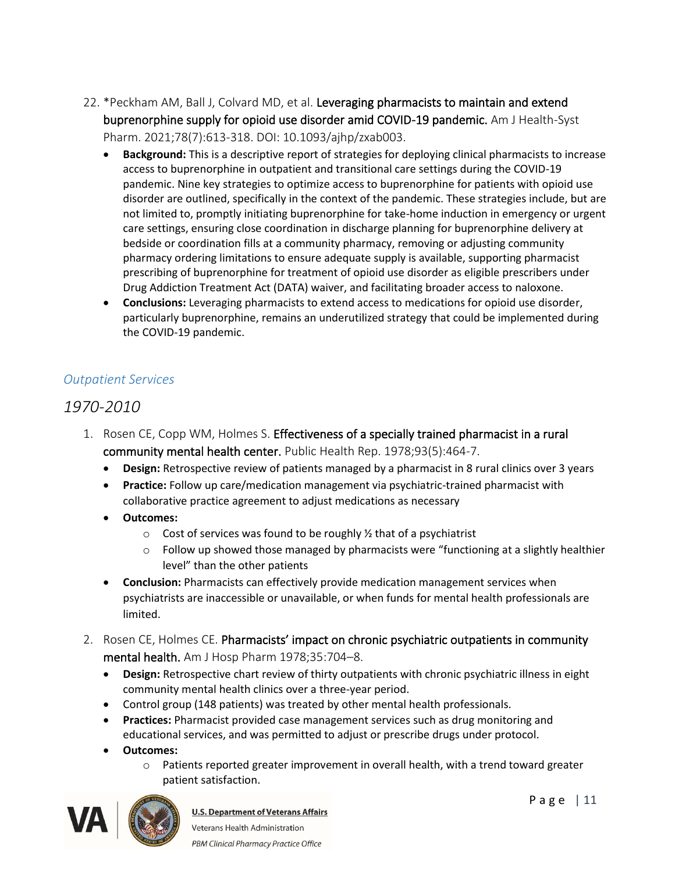- 22. \*Peckham AM, Ball J, Colvard MD, et al. Leveraging pharmacists to maintain and extend buprenorphine supply for opioid use disorder amid COVID-19 pandemic. Am J Health-Syst Pharm. 2021;78(7):613-318. DOI: 10.1093/ajhp/zxab003.
	- **Background:** This is a descriptive report of strategies for deploying clinical pharmacists to increase access to buprenorphine in outpatient and transitional care settings during the COVID-19 pandemic. Nine key strategies to optimize access to buprenorphine for patients with opioid use disorder are outlined, specifically in the context of the pandemic. These strategies include, but are not limited to, promptly initiating buprenorphine for take-home induction in emergency or urgent care settings, ensuring close coordination in discharge planning for buprenorphine delivery at bedside or coordination fills at a community pharmacy, removing or adjusting community pharmacy ordering limitations to ensure adequate supply is available, supporting pharmacist prescribing of buprenorphine for treatment of opioid use disorder as eligible prescribers under Drug Addiction Treatment Act (DATA) waiver, and facilitating broader access to naloxone.
	- **Conclusions:** Leveraging pharmacists to extend access to medications for opioid use disorder, particularly buprenorphine, remains an underutilized strategy that could be implemented during the COVID-19 pandemic.

### *Outpatient Services*

## *1970-2010*

- 1. Rosen CE, Copp WM, Holmes S. Effectiveness of a specially trained pharmacist in a rural community mental health center. Public Health Rep. 1978;93(5):464-7.
	- **Design:** Retrospective review of patients managed by a pharmacist in 8 rural clinics over 3 years
	- **Practice:** Follow up care/medication management via psychiatric-trained pharmacist with collaborative practice agreement to adjust medications as necessary
	- **Outcomes:**
		- $\circ$  Cost of services was found to be roughly  $\frac{1}{2}$  that of a psychiatrist
		- $\circ$  Follow up showed those managed by pharmacists were "functioning at a slightly healthier level" than the other patients
	- **Conclusion:** Pharmacists can effectively provide medication management services when psychiatrists are inaccessible or unavailable, or when funds for mental health professionals are limited.
- 2. Rosen CE, Holmes CE. Pharmacists' impact on chronic psychiatric outpatients in community mental health. Am J Hosp Pharm 1978;35:704–8.
	- **Design:** Retrospective chart review of thirty outpatients with chronic psychiatric illness in eight community mental health clinics over a three-year period.
	- Control group (148 patients) was treated by other mental health professionals.
	- **Practices:** Pharmacist provided case management services such as drug monitoring and educational services, and was permitted to adjust or prescribe drugs under protocol.
	- **Outcomes:**
		- o Patients reported greater improvement in overall health, with a trend toward greater patient satisfaction.

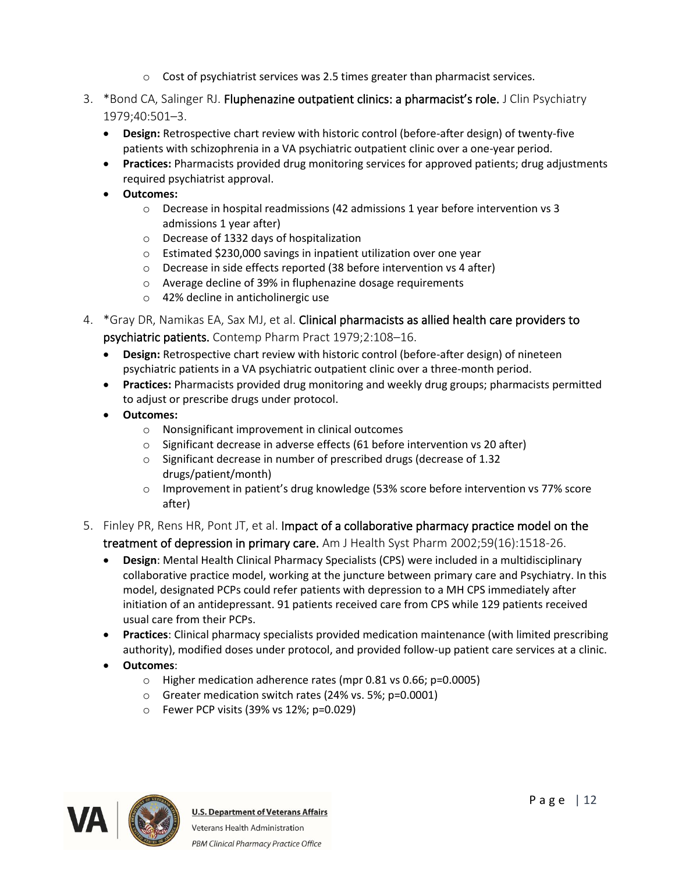- $\circ$  Cost of psychiatrist services was 2.5 times greater than pharmacist services.
- 3. \*Bond CA, Salinger RJ. Fluphenazine outpatient clinics: a pharmacist's role. J Clin Psychiatry 1979;40:501–3.
	- **Design:** Retrospective chart review with historic control (before-after design) of twenty-five patients with schizophrenia in a VA psychiatric outpatient clinic over a one-year period.
	- **Practices:** Pharmacists provided drug monitoring services for approved patients; drug adjustments required psychiatrist approval.
	- **Outcomes:**
		- o Decrease in hospital readmissions (42 admissions 1 year before intervention vs 3 admissions 1 year after)
		- o Decrease of 1332 days of hospitalization
		- o Estimated \$230,000 savings in inpatient utilization over one year
		- o Decrease in side effects reported (38 before intervention vs 4 after)
		- o Average decline of 39% in fluphenazine dosage requirements
		- o 42% decline in anticholinergic use
- 4. \*Gray DR, Namikas EA, Sax MJ, et al. Clinical pharmacists as allied health care providers to psychiatric patients. Contemp Pharm Pract 1979;2:108–16.
	- **Design:** Retrospective chart review with historic control (before-after design) of nineteen psychiatric patients in a VA psychiatric outpatient clinic over a three-month period.
	- **Practices:** Pharmacists provided drug monitoring and weekly drug groups; pharmacists permitted to adjust or prescribe drugs under protocol.
	- **Outcomes:**
		- o Nonsignificant improvement in clinical outcomes
		- o Significant decrease in adverse effects (61 before intervention vs 20 after)
		- o Significant decrease in number of prescribed drugs (decrease of 1.32 drugs/patient/month)
		- o Improvement in patient's drug knowledge (53% score before intervention vs 77% score after)
- 5. Finley PR, Rens HR, Pont JT, et al. Impact of a collaborative pharmacy practice model on the treatment of depression in primary care. Am J Health Syst Pharm 2002;59(16):1518-26.
	- **Design**: Mental Health Clinical Pharmacy Specialists (CPS) were included in a multidisciplinary collaborative practice model, working at the juncture between primary care and Psychiatry. In this model, designated PCPs could refer patients with depression to a MH CPS immediately after initiation of an antidepressant. 91 patients received care from CPS while 129 patients received usual care from their PCPs.
	- **Practices**: Clinical pharmacy specialists provided medication maintenance (with limited prescribing authority), modified doses under protocol, and provided follow-up patient care services at a clinic.
	- **Outcomes**:
		- o Higher medication adherence rates (mpr 0.81 vs 0.66; p=0.0005)
		- o Greater medication switch rates (24% vs. 5%; p=0.0001)
		- o Fewer PCP visits (39% vs 12%; p=0.029)

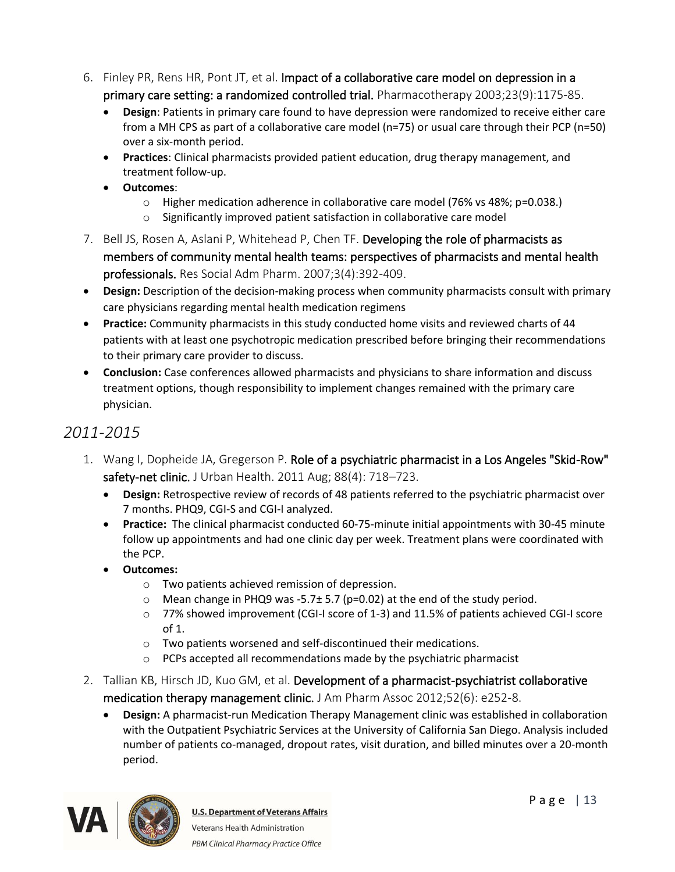- 6. Finley PR, Rens HR, Pont JT, et al. Impact of a collaborative care model on depression in a primary care setting: a randomized controlled trial. Pharmacotherapy 2003;23(9):1175-85.
	- **Design**: Patients in primary care found to have depression were randomized to receive either care from a MH CPS as part of a collaborative care model (n=75) or usual care through their PCP (n=50) over a six-month period.
	- **Practices**: Clinical pharmacists provided patient education, drug therapy management, and treatment follow-up.
	- **Outcomes**:
		- o Higher medication adherence in collaborative care model (76% vs 48%; p=0.038.)
		- o Significantly improved patient satisfaction in collaborative care model
- 7. Bell JS, Rosen A, Aslani P, Whitehead P, Chen TF. Developing the role of pharmacists as members of community mental health teams: perspectives of pharmacists and mental health professionals. Res Social Adm Pharm. 2007;3(4):392-409.
- **Design:** Description of the decision-making process when community pharmacists consult with primary care physicians regarding mental health medication regimens
- **Practice:** Community pharmacists in this study conducted home visits and reviewed charts of 44 patients with at least one psychotropic medication prescribed before bringing their recommendations to their primary care provider to discuss.
- **Conclusion:** Case conferences allowed pharmacists and physicians to share information and discuss treatment options, though responsibility to implement changes remained with the primary care physician.

# *2011-2015*

- 1. Wang I, Dopheide JA, Gregerson P. Role of a psychiatric pharmacist in a Los Angeles "Skid-Row" safety-net clinic. J Urban Health. 2011 Aug; 88(4): 718–723.
	- **Design:** Retrospective review of records of 48 patients referred to the psychiatric pharmacist over 7 months. PHQ9, CGI-S and CGI-I analyzed.
	- **Practice:** The clinical pharmacist conducted 60-75-minute initial appointments with 30-45 minute follow up appointments and had one clinic day per week. Treatment plans were coordinated with the PCP.
	- **Outcomes:** 
		- o Two patients achieved remission of depression.
		- o Mean change in PHQ9 was -5.7± 5.7 (p=0.02) at the end of the study period.
		- o 77% showed improvement (CGI-I score of 1-3) and 11.5% of patients achieved CGI-I score of 1.
		- o Two patients worsened and self-discontinued their medications.
		- o PCPs accepted all recommendations made by the psychiatric pharmacist
- 2. Tallian KB, Hirsch JD, Kuo GM, et al. Development of a pharmacist-psychiatrist collaborative medication therapy management clinic. J Am Pharm Assoc 2012;52(6): e252-8.
	- **Design:** A pharmacist-run Medication Therapy Management clinic was established in collaboration with the Outpatient Psychiatric Services at the University of California San Diego. Analysis included number of patients co-managed, dropout rates, visit duration, and billed minutes over a 20-month period.

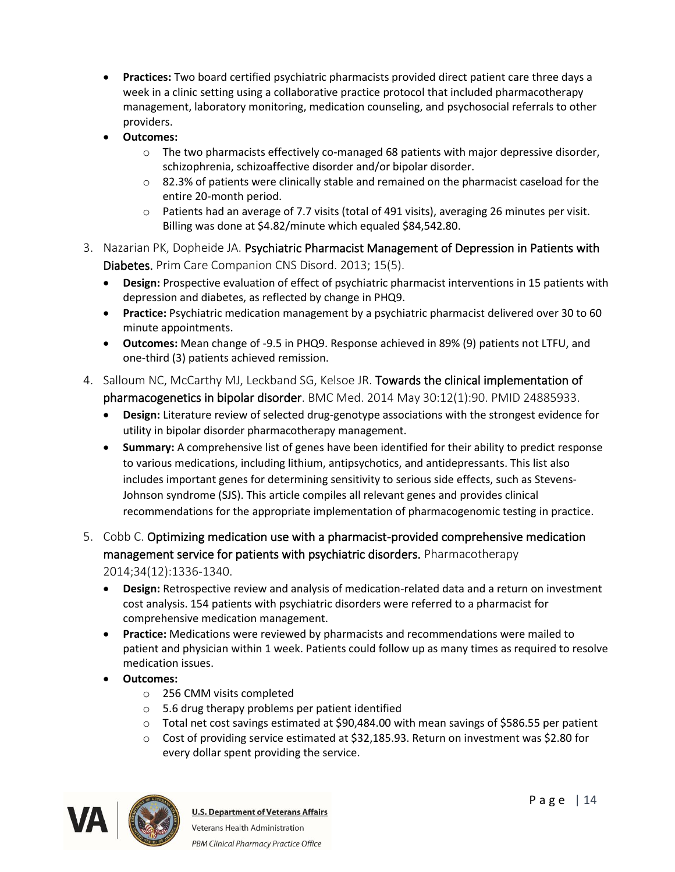- **Practices:** Two board certified psychiatric pharmacists provided direct patient care three days a week in a clinic setting using a collaborative practice protocol that included pharmacotherapy management, laboratory monitoring, medication counseling, and psychosocial referrals to other providers.
- **Outcomes:** 
	- $\circ$  The two pharmacists effectively co-managed 68 patients with major depressive disorder, schizophrenia, schizoaffective disorder and/or bipolar disorder.
	- o 82.3% of patients were clinically stable and remained on the pharmacist caseload for the entire 20-month period.
	- o Patients had an average of 7.7 visits (total of 491 visits), averaging 26 minutes per visit. Billing was done at \$4.82/minute which equaled \$84,542.80.
- 3. Nazarian PK, Dopheide JA. Psychiatric Pharmacist Management of Depression in Patients with Diabetes. Prim Care Companion CNS Disord. 2013; 15(5).
	- **Design:** Prospective evaluation of effect of psychiatric pharmacist interventions in 15 patients with depression and diabetes, as reflected by change in PHQ9.
	- **Practice:** Psychiatric medication management by a psychiatric pharmacist delivered over 30 to 60 minute appointments.
	- **Outcomes:** Mean change of -9.5 in PHQ9. Response achieved in 89% (9) patients not LTFU, and one-third (3) patients achieved remission.
- 4. Salloum NC, McCarthy MJ, Leckband SG, Kelsoe JR. Towards the clinical implementation of pharmacogenetics in bipolar disorder. BMC Med. 2014 May 30:12(1):90. PMID 24885933.
	- **Design:** Literature review of selected drug-genotype associations with the strongest evidence for utility in bipolar disorder pharmacotherapy management.
	- **Summary:** A comprehensive list of genes have been identified for their ability to predict response to various medications, including lithium, antipsychotics, and antidepressants. This list also includes important genes for determining sensitivity to serious side effects, such as Stevens-Johnson syndrome (SJS). This article compiles all relevant genes and provides clinical recommendations for the appropriate implementation of pharmacogenomic testing in practice.
- 5. Cobb C. Optimizing medication use with a pharmacist-provided comprehensive medication management service for patients with psychiatric disorders. Pharmacotherapy 2014;34(12):1336-1340.
	- **Design:** Retrospective review and analysis of medication-related data and a return on investment cost analysis. 154 patients with psychiatric disorders were referred to a pharmacist for comprehensive medication management.
	- **Practice:** Medications were reviewed by pharmacists and recommendations were mailed to patient and physician within 1 week. Patients could follow up as many times as required to resolve medication issues.
	- **Outcomes:** 
		- o 256 CMM visits completed
		- o 5.6 drug therapy problems per patient identified
		- o Total net cost savings estimated at \$90,484.00 with mean savings of \$586.55 per patient
		- o Cost of providing service estimated at \$32,185.93. Return on investment was \$2.80 for every dollar spent providing the service.

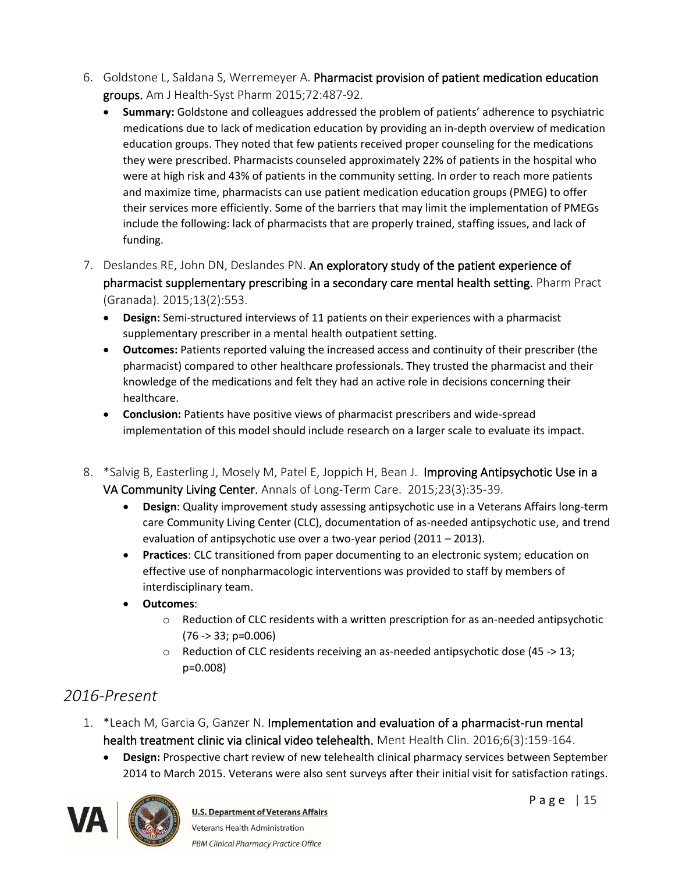- 6. Goldstone L, Saldana S, Werremeyer A. Pharmacist provision of patient medication education groups. Am J Health-Syst Pharm 2015;72:487-92.
	- **Summary:** Goldstone and colleagues addressed the problem of patients' adherence to psychiatric medications due to lack of medication education by providing an in-depth overview of medication education groups. They noted that few patients received proper counseling for the medications they were prescribed. Pharmacists counseled approximately 22% of patients in the hospital who were at high risk and 43% of patients in the community setting. In order to reach more patients and maximize time, pharmacists can use patient medication education groups (PMEG) to offer their services more efficiently. Some of the barriers that may limit the implementation of PMEGs include the following: lack of pharmacists that are properly trained, staffing issues, and lack of funding.
- 7. Deslandes RE, John DN, Deslandes PN. An exploratory study of the patient experience of pharmacist supplementary prescribing in a secondary care mental health setting. Pharm Pract (Granada). 2015;13(2):553.
	- **Design:** Semi-structured interviews of 11 patients on their experiences with a pharmacist supplementary prescriber in a mental health outpatient setting.
	- **Outcomes:** Patients reported valuing the increased access and continuity of their prescriber (the pharmacist) compared to other healthcare professionals. They trusted the pharmacist and their knowledge of the medications and felt they had an active role in decisions concerning their healthcare.
	- **Conclusion:** Patients have positive views of pharmacist prescribers and wide-spread implementation of this model should include research on a larger scale to evaluate its impact.
- 8. \*Salvig B, Easterling J, Mosely M, Patel E, Joppich H, Bean J. Improving Antipsychotic Use in a VA Community Living Center. Annals of Long-Term Care.  2015;23(3):35-39.
	- **Design**: Quality improvement study assessing antipsychotic use in a Veterans Affairs long-term care Community Living Center (CLC), documentation of as-needed antipsychotic use, and trend evaluation of antipsychotic use over a two-year period (2011 – 2013).
	- **Practices**: CLC transitioned from paper documenting to an electronic system; education on effective use of nonpharmacologic interventions was provided to staff by members of interdisciplinary team.
	- **Outcomes**:
		- $\circ$  Reduction of CLC residents with a written prescription for as an-needed antipsychotic (76 -> 33; p=0.006)
		- $\circ$  Reduction of CLC residents receiving an as-needed antipsychotic dose (45 -> 13; p=0.008)

# *2016-Present*

- 1. \*Leach M, Garcia G, Ganzer N. Implementation and evaluation of a pharmacist-run mental health treatment clinic via clinical video telehealth. Ment Health Clin. 2016;6(3):159-164.
	- **Design:** Prospective chart review of new telehealth clinical pharmacy services between September 2014 to March 2015. Veterans were also sent surveys after their initial visit for satisfaction ratings.

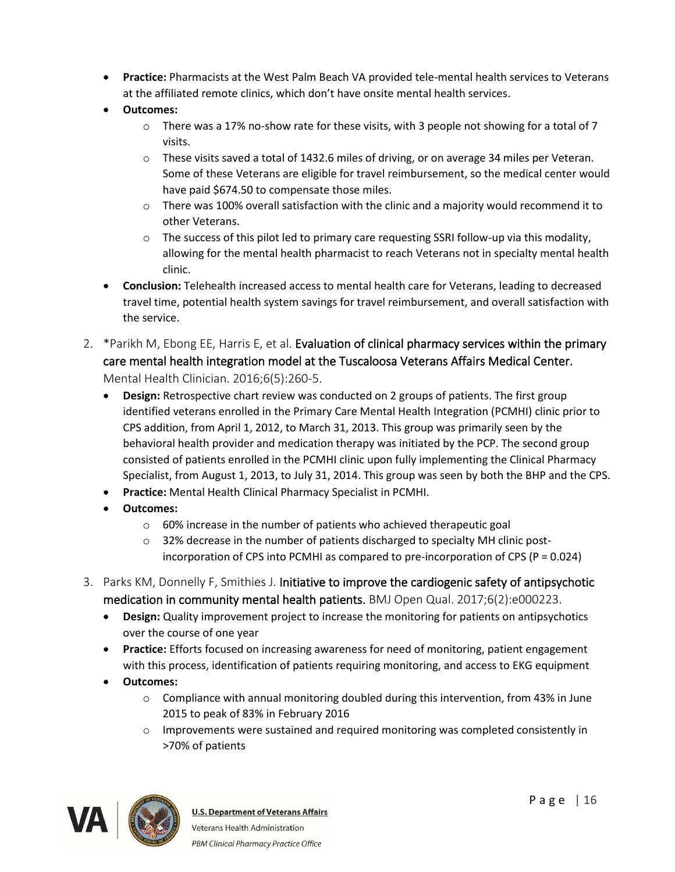- **Practice:** Pharmacists at the West Palm Beach VA provided tele-mental health services to Veterans at the affiliated remote clinics, which don't have onsite mental health services.
- **Outcomes:** 
	- $\circ$  There was a 17% no-show rate for these visits, with 3 people not showing for a total of 7 visits.
	- o These visits saved a total of 1432.6 miles of driving, or on average 34 miles per Veteran. Some of these Veterans are eligible for travel reimbursement, so the medical center would have paid \$674.50 to compensate those miles.
	- $\circ$  There was 100% overall satisfaction with the clinic and a majority would recommend it to other Veterans.
	- $\circ$  The success of this pilot led to primary care requesting SSRI follow-up via this modality, allowing for the mental health pharmacist to reach Veterans not in specialty mental health clinic.
- **Conclusion:** Telehealth increased access to mental health care for Veterans, leading to decreased travel time, potential health system savings for travel reimbursement, and overall satisfaction with the service.
- 2. \*Parikh M, Ebong EE, Harris E, et al. Evaluation of clinical pharmacy services within the primary care mental health integration model at the Tuscaloosa Veterans Affairs Medical Center. Mental Health Clinician. 2016;6(5):260-5.
	- **Design:** Retrospective chart review was conducted on 2 groups of patients. The first group identified veterans enrolled in the Primary Care Mental Health Integration (PCMHI) clinic prior to CPS addition, from April 1, 2012, to March 31, 2013. This group was primarily seen by the behavioral health provider and medication therapy was initiated by the PCP. The second group consisted of patients enrolled in the PCMHI clinic upon fully implementing the Clinical Pharmacy Specialist, from August 1, 2013, to July 31, 2014. This group was seen by both the BHP and the CPS.
	- **Practice:** Mental Health Clinical Pharmacy Specialist in PCMHI.
	- **Outcomes:** 
		- o 60% increase in the number of patients who achieved therapeutic goal
		- $\circ$  32% decrease in the number of patients discharged to specialty MH clinic postincorporation of CPS into PCMHI as compared to pre-incorporation of CPS (P = 0.024)
- 3. Parks KM, Donnelly F, Smithies J. Initiative to improve the cardiogenic safety of antipsychotic medication in community mental health patients. BMJ Open Qual. 2017;6(2):e000223.
	- **Design:** Quality improvement project to increase the monitoring for patients on antipsychotics over the course of one year
	- **Practice:** Efforts focused on increasing awareness for need of monitoring, patient engagement with this process, identification of patients requiring monitoring, and access to EKG equipment
	- **Outcomes:**
		- $\circ$  Compliance with annual monitoring doubled during this intervention, from 43% in June 2015 to peak of 83% in February 2016
		- $\circ$  Improvements were sustained and required monitoring was completed consistently in >70% of patients

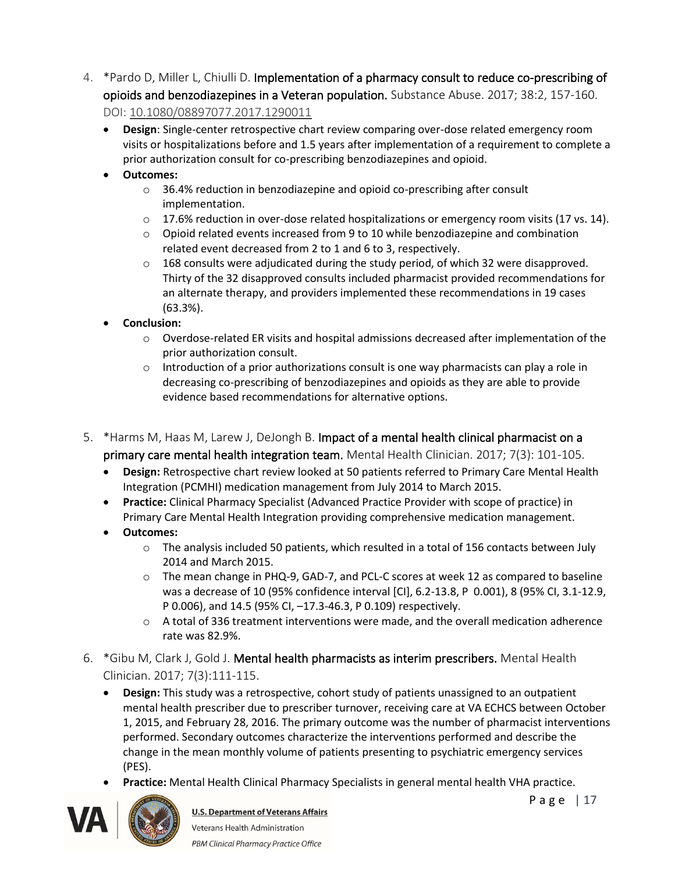- 4. \*Pardo D, Miller L, Chiulli D. Implementation of a pharmacy consult to reduce co-prescribing of opioids and benzodiazepines in a Veteran population. Substance Abuse. 2017; 38:2, 157-160. DOI: [10.1080/08897077.2017.1290011](https://doi.org/10.1080/08897077.2017.1290011)
	- **Design**: Single-center retrospective chart review comparing over-dose related emergency room visits or hospitalizations before and 1.5 years after implementation of a requirement to complete a prior authorization consult for co-prescribing benzodiazepines and opioid.
	- **Outcomes:**
		- o 36.4% reduction in benzodiazepine and opioid co-prescribing after consult implementation.
		- $\circ$  17.6% reduction in over-dose related hospitalizations or emergency room visits (17 vs. 14).
		- $\circ$  Opioid related events increased from 9 to 10 while benzodiazepine and combination related event decreased from 2 to 1 and 6 to 3, respectively.
		- $\circ$  168 consults were adjudicated during the study period, of which 32 were disapproved. Thirty of the 32 disapproved consults included pharmacist provided recommendations for an alternate therapy, and providers implemented these recommendations in 19 cases (63.3%).
	- **Conclusion:**
		- o Overdose-related ER visits and hospital admissions decreased after implementation of the prior authorization consult.
		- $\circ$  Introduction of a prior authorizations consult is one way pharmacists can play a role in decreasing co-prescribing of benzodiazepines and opioids as they are able to provide evidence based recommendations for alternative options.
- 5. \*Harms M, Haas M, Larew J, DeJongh B. Impact of a mental health clinical pharmacist on a primary care mental health integration team. Mental Health Clinician. 2017; 7(3): 101-105.
	- **Design:** Retrospective chart review looked at 50 patients referred to Primary Care Mental Health Integration (PCMHI) medication management from July 2014 to March 2015.
	- **Practice:** Clinical Pharmacy Specialist (Advanced Practice Provider with scope of practice) in Primary Care Mental Health Integration providing comprehensive medication management.
	- **Outcomes:** 
		- o The analysis included 50 patients, which resulted in a total of 156 contacts between July 2014 and March 2015.
		- $\circ$  The mean change in PHQ-9, GAD-7, and PCL-C scores at week 12 as compared to baseline was a decrease of 10 (95% confidence interval [CI], 6.2-13.8, P 0.001), 8 (95% CI, 3.1-12.9, P 0.006), and 14.5 (95% CI, –17.3-46.3, P 0.109) respectively.
		- $\circ$  A total of 336 treatment interventions were made, and the overall medication adherence rate was 82.9%.
- 6. \*Gibu M, Clark J, Gold J. Mental health pharmacists as interim prescribers. Mental Health Clinician. 2017; 7(3):111-115.
	- **Design:** This study was a retrospective, cohort study of patients unassigned to an outpatient mental health prescriber due to prescriber turnover, receiving care at VA ECHCS between October 1, 2015, and February 28, 2016. The primary outcome was the number of pharmacist interventions performed. Secondary outcomes characterize the interventions performed and describe the change in the mean monthly volume of patients presenting to psychiatric emergency services (PES).
	- **Practice:** Mental Health Clinical Pharmacy Specialists in general mental health VHA practice.

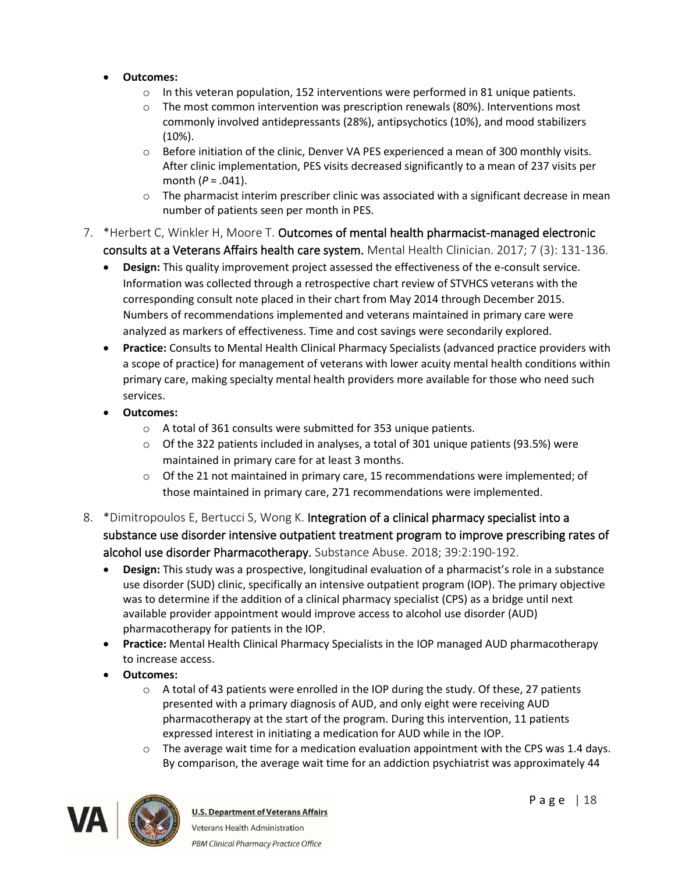- **Outcomes:**
	- $\circ$  In this veteran population, 152 interventions were performed in 81 unique patients.
	- $\circ$  The most common intervention was prescription renewals (80%). Interventions most commonly involved antidepressants (28%), antipsychotics (10%), and mood stabilizers (10%).
	- o Before initiation of the clinic, Denver VA PES experienced a mean of 300 monthly visits. After clinic implementation, PES visits decreased significantly to a mean of 237 visits per month (*P* = .041).
	- $\circ$  The pharmacist interim prescriber clinic was associated with a significant decrease in mean number of patients seen per month in PES.
- 7. \*Herbert C, Winkler H, Moore T. Outcomes of mental health pharmacist-managed electronic consults at a Veterans Affairs health care system. Mental Health Clinician. 2017; 7 (3): 131-136.
	- **Design:** This quality improvement project assessed the effectiveness of the e-consult service. Information was collected through a retrospective chart review of STVHCS veterans with the corresponding consult note placed in their chart from May 2014 through December 2015. Numbers of recommendations implemented and veterans maintained in primary care were analyzed as markers of effectiveness. Time and cost savings were secondarily explored.
	- **Practice:** Consults to Mental Health Clinical Pharmacy Specialists (advanced practice providers with a scope of practice) for management of veterans with lower acuity mental health conditions within primary care, making specialty mental health providers more available for those who need such services.
	- **Outcomes:** 
		- o A total of 361 consults were submitted for 353 unique patients.
		- $\circ$  Of the 322 patients included in analyses, a total of 301 unique patients (93.5%) were maintained in primary care for at least 3 months.
		- $\circ$  Of the 21 not maintained in primary care, 15 recommendations were implemented; of those maintained in primary care, 271 recommendations were implemented.
- 8. \*Dimitropoulos E, Bertucci S, Wong K. Integration of a clinical pharmacy specialist into a substance use disorder intensive outpatient treatment program to improve prescribing rates of alcohol use disorder Pharmacotherapy. Substance Abuse. 2018; 39:2:190-192.
	- **Design:** This study was a prospective, longitudinal evaluation of a pharmacist's role in a substance use disorder (SUD) clinic, specifically an intensive outpatient program (IOP). The primary objective was to determine if the addition of a clinical pharmacy specialist (CPS) as a bridge until next available provider appointment would improve access to alcohol use disorder (AUD) pharmacotherapy for patients in the IOP.
	- **Practice:** Mental Health Clinical Pharmacy Specialists in the IOP managed AUD pharmacotherapy to increase access.
	- **Outcomes:**
		- $\circ$  A total of 43 patients were enrolled in the IOP during the study. Of these, 27 patients presented with a primary diagnosis of AUD, and only eight were receiving AUD pharmacotherapy at the start of the program. During this intervention, 11 patients expressed interest in initiating a medication for AUD while in the IOP.
		- $\circ$  The average wait time for a medication evaluation appointment with the CPS was 1.4 days. By comparison, the average wait time for an addiction psychiatrist was approximately 44

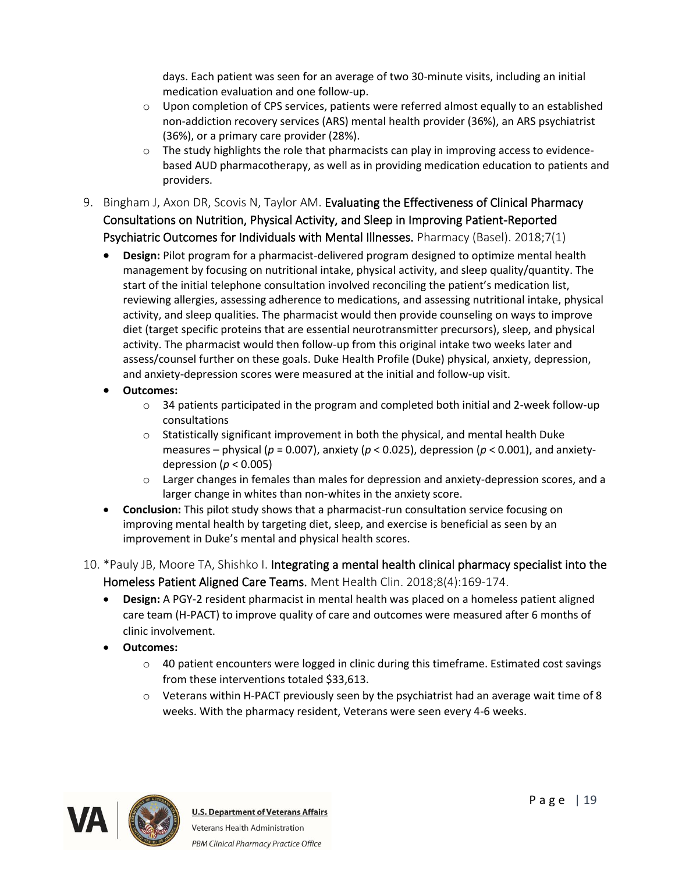days. Each patient was seen for an average of two 30-minute visits, including an initial medication evaluation and one follow-up.

- o Upon completion of CPS services, patients were referred almost equally to an established non-addiction recovery services (ARS) mental health provider (36%), an ARS psychiatrist (36%), or a primary care provider (28%).
- $\circ$  The study highlights the role that pharmacists can play in improving access to evidencebased AUD pharmacotherapy, as well as in providing medication education to patients and providers.
- 9. Bingham J, Axon DR, Scovis N, Taylor AM. Evaluating the Effectiveness of Clinical Pharmacy Consultations on Nutrition, Physical Activity, and Sleep in Improving Patient-Reported Psychiatric Outcomes for Individuals with Mental Illnesses. Pharmacy (Basel). 2018;7(1)
	- **Design:** Pilot program for a pharmacist-delivered program designed to optimize mental health management by focusing on nutritional intake, physical activity, and sleep quality/quantity. The start of the initial telephone consultation involved reconciling the patient's medication list, reviewing allergies, assessing adherence to medications, and assessing nutritional intake, physical activity, and sleep qualities. The pharmacist would then provide counseling on ways to improve diet (target specific proteins that are essential neurotransmitter precursors), sleep, and physical activity. The pharmacist would then follow-up from this original intake two weeks later and assess/counsel further on these goals. Duke Health Profile (Duke) physical, anxiety, depression, and anxiety-depression scores were measured at the initial and follow-up visit.
	- **Outcomes:**
		- o 34 patients participated in the program and completed both initial and 2-week follow-up consultations
		- $\circ$  Statistically significant improvement in both the physical, and mental health Duke measures – physical (*p* = 0.007), anxiety (*p* < 0.025), depression (*p* < 0.001), and anxietydepression ( $p < 0.005$ )
		- $\circ$  Larger changes in females than males for depression and anxiety-depression scores, and a larger change in whites than non-whites in the anxiety score.
	- **Conclusion:** This pilot study shows that a pharmacist-run consultation service focusing on improving mental health by targeting diet, sleep, and exercise is beneficial as seen by an improvement in Duke's mental and physical health scores.
- 10. \*Pauly JB, Moore TA, Shishko I. Integrating a mental health clinical pharmacy specialist into the Homeless Patient Aligned Care Teams. Ment Health Clin. 2018;8(4):169-174.
	- **Design:** A PGY-2 resident pharmacist in mental health was placed on a homeless patient aligned care team (H-PACT) to improve quality of care and outcomes were measured after 6 months of clinic involvement.
	- **Outcomes:**
		- $\circ$  40 patient encounters were logged in clinic during this timeframe. Estimated cost savings from these interventions totaled \$33,613.
		- $\circ$  Veterans within H-PACT previously seen by the psychiatrist had an average wait time of 8 weeks. With the pharmacy resident, Veterans were seen every 4-6 weeks.

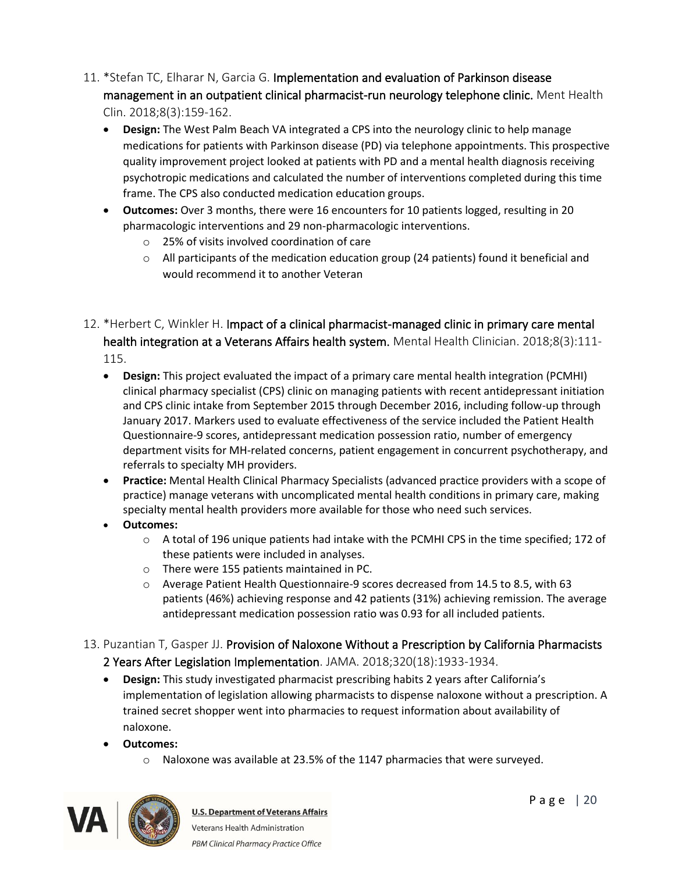- 11. \*Stefan TC, Elharar N, Garcia G. Implementation and evaluation of Parkinson disease management in an outpatient clinical pharmacist-run neurology telephone clinic. Ment Health Clin. 2018;8(3):159-162.
	- **Design:** The West Palm Beach VA integrated a CPS into the neurology clinic to help manage medications for patients with Parkinson disease (PD) via telephone appointments. This prospective quality improvement project looked at patients with PD and a mental health diagnosis receiving psychotropic medications and calculated the number of interventions completed during this time frame. The CPS also conducted medication education groups.
	- **Outcomes:** Over 3 months, there were 16 encounters for 10 patients logged, resulting in 20 pharmacologic interventions and 29 non-pharmacologic interventions.
		- o 25% of visits involved coordination of care
		- o All participants of the medication education group (24 patients) found it beneficial and would recommend it to another Veteran
- 12. \*Herbert C, Winkler H. Impact of a clinical pharmacist-managed clinic in primary care mental health integration at a Veterans Affairs health system. Mental Health Clinician. 2018;8(3):111-115.
	- **Design:** This project evaluated the impact of a primary care mental health integration (PCMHI) clinical pharmacy specialist (CPS) clinic on managing patients with recent antidepressant initiation and CPS clinic intake from September 2015 through December 2016, including follow-up through January 2017. Markers used to evaluate effectiveness of the service included the Patient Health Questionnaire-9 scores, antidepressant medication possession ratio, number of emergency department visits for MH-related concerns, patient engagement in concurrent psychotherapy, and referrals to specialty MH providers.
	- **Practice:** Mental Health Clinical Pharmacy Specialists (advanced practice providers with a scope of practice) manage veterans with uncomplicated mental health conditions in primary care, making specialty mental health providers more available for those who need such services.
	- **Outcomes:**
		- o A total of 196 unique patients had intake with the PCMHI CPS in the time specified; 172 of these patients were included in analyses.
		- o There were 155 patients maintained in PC.
		- o Average Patient Health Questionnaire-9 scores decreased from 14.5 to 8.5, with 63 patients (46%) achieving response and 42 patients (31%) achieving remission. The average antidepressant medication possession ratio was 0.93 for all included patients.
- 13. Puzantian T, Gasper JJ. Provision of Naloxone Without a Prescription by California Pharmacists 2 Years After Legislation Implementation. JAMA. 2018;320(18):1933-1934.
	- **Design:** This study investigated pharmacist prescribing habits 2 years after California's implementation of legislation allowing pharmacists to dispense naloxone without a prescription. A trained secret shopper went into pharmacies to request information about availability of naloxone.
	- **Outcomes:** 
		- o Naloxone was available at 23.5% of the 1147 pharmacies that were surveyed.

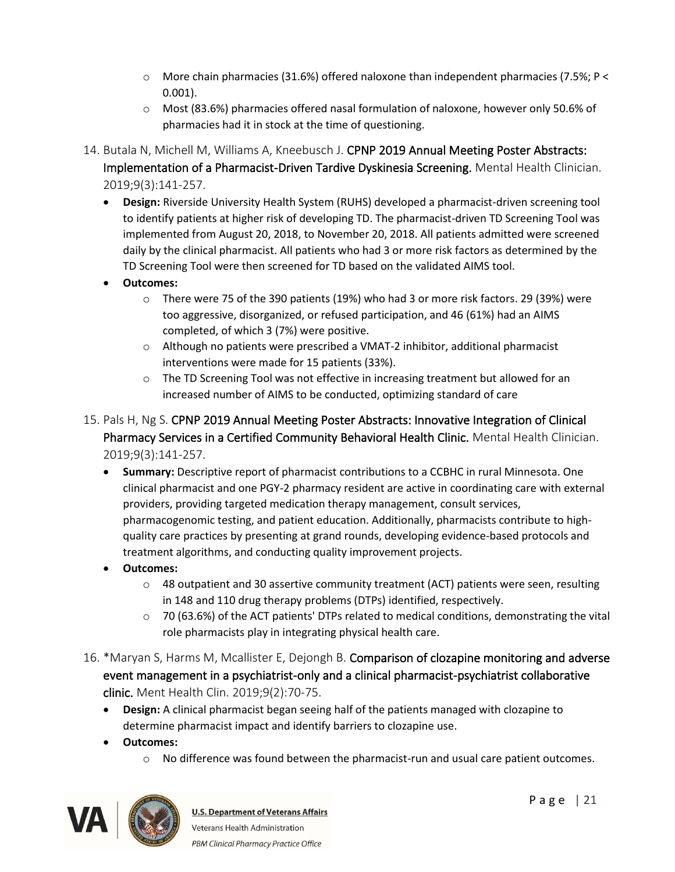- $\circ$  More chain pharmacies (31.6%) offered naloxone than independent pharmacies (7.5%; P < 0.001).
- o Most (83.6%) pharmacies offered nasal formulation of naloxone, however only 50.6% of pharmacies had it in stock at the time of questioning.
- 14. Butala N, Michell M, Williams A, Kneebusch J. CPNP 2019 Annual Meeting Poster Abstracts: Implementation of a Pharmacist-Driven Tardive Dyskinesia Screening. Mental Health Clinician. 2019;9(3):141-257.
	- **Design:** Riverside University Health System (RUHS) developed a pharmacist-driven screening tool to identify patients at higher risk of developing TD. The pharmacist-driven TD Screening Tool was implemented from August 20, 2018, to November 20, 2018. All patients admitted were screened daily by the clinical pharmacist. All patients who had 3 or more risk factors as determined by the TD Screening Tool were then screened for TD based on the validated AIMS tool.
	- **Outcomes:**
		- o There were 75 of the 390 patients (19%) who had 3 or more risk factors. 29 (39%) were too aggressive, disorganized, or refused participation, and 46 (61%) had an AIMS completed, of which 3 (7%) were positive.
		- o Although no patients were prescribed a VMAT-2 inhibitor, additional pharmacist interventions were made for 15 patients (33%).
		- $\circ$  The TD Screening Tool was not effective in increasing treatment but allowed for an increased number of AIMS to be conducted, optimizing standard of care
- 15. Pals H, Ng S. CPNP 2019 Annual Meeting Poster Abstracts: Innovative Integration of Clinical Pharmacy Services in a Certified Community Behavioral Health Clinic. Mental Health Clinician. 2019;9(3):141-257.
	- **Summary:** Descriptive report of pharmacist contributions to a CCBHC in rural Minnesota. One clinical pharmacist and one PGY-2 pharmacy resident are active in coordinating care with external providers, providing targeted medication therapy management, consult services, pharmacogenomic testing, and patient education. Additionally, pharmacists contribute to highquality care practices by presenting at grand rounds, developing evidence-based protocols and treatment algorithms, and conducting quality improvement projects.
	- **Outcomes:**
		- $\circ$  48 outpatient and 30 assertive community treatment (ACT) patients were seen, resulting in 148 and 110 drug therapy problems (DTPs) identified, respectively.
		- $\circ$  70 (63.6%) of the ACT patients' DTPs related to medical conditions, demonstrating the vital role pharmacists play in integrating physical health care.
- 16. \*Maryan S, Harms M, Mcallister E, Dejongh B. Comparison of clozapine monitoring and adverse event management in a psychiatrist-only and a clinical pharmacist-psychiatrist collaborative clinic. Ment Health Clin. 2019;9(2):70-75.
	- **Design:** A clinical pharmacist began seeing half of the patients managed with clozapine to determine pharmacist impact and identify barriers to clozapine use.
	- **Outcomes:**
		- o No difference was found between the pharmacist-run and usual care patient outcomes.

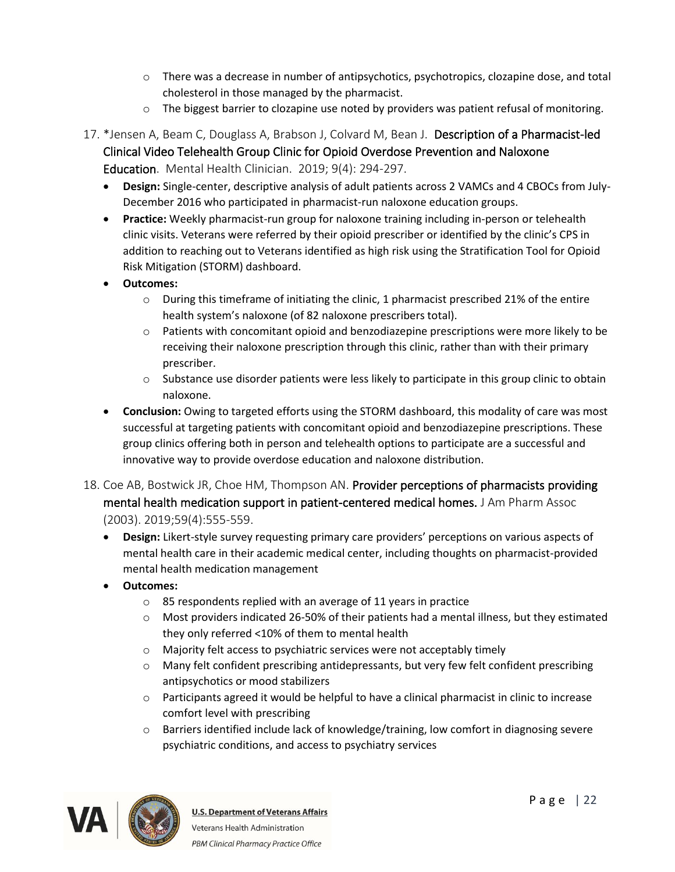- $\circ$  There was a decrease in number of antipsychotics, psychotropics, clozapine dose, and total cholesterol in those managed by the pharmacist.
- $\circ$  The biggest barrier to clozapine use noted by providers was patient refusal of monitoring.
- 17. \*Jensen A, Beam C, Douglass A, Brabson J, Colvard M, Bean J. Description of a Pharmacist-led Clinical Video Telehealth Group Clinic for Opioid Overdose Prevention and Naloxone Education. Mental Health Clinician. 2019; 9(4): 294-297.
	- **Design:** Single-center, descriptive analysis of adult patients across 2 VAMCs and 4 CBOCs from July-December 2016 who participated in pharmacist-run naloxone education groups.
	- **Practice:** Weekly pharmacist-run group for naloxone training including in-person or telehealth clinic visits. Veterans were referred by their opioid prescriber or identified by the clinic's CPS in addition to reaching out to Veterans identified as high risk using the Stratification Tool for Opioid Risk Mitigation (STORM) dashboard.
	- **Outcomes:**
		- $\circ$  During this timeframe of initiating the clinic, 1 pharmacist prescribed 21% of the entire health system's naloxone (of 82 naloxone prescribers total).
		- $\circ$  Patients with concomitant opioid and benzodiazepine prescriptions were more likely to be receiving their naloxone prescription through this clinic, rather than with their primary prescriber.
		- $\circ$  Substance use disorder patients were less likely to participate in this group clinic to obtain naloxone.
	- **Conclusion:** Owing to targeted efforts using the STORM dashboard, this modality of care was most successful at targeting patients with concomitant opioid and benzodiazepine prescriptions. These group clinics offering both in person and telehealth options to participate are a successful and innovative way to provide overdose education and naloxone distribution.
- 18. Coe AB, Bostwick JR, Choe HM, Thompson AN. Provider perceptions of pharmacists providing mental health medication support in patient-centered medical homes. J Am Pharm Assoc (2003). 2019;59(4):555-559.
	- **Design:** Likert-style survey requesting primary care providers' perceptions on various aspects of mental health care in their academic medical center, including thoughts on pharmacist-provided mental health medication management
	- **Outcomes:** 
		- o 85 respondents replied with an average of 11 years in practice
		- o Most providers indicated 26-50% of their patients had a mental illness, but they estimated they only referred <10% of them to mental health
		- o Majority felt access to psychiatric services were not acceptably timely
		- o Many felt confident prescribing antidepressants, but very few felt confident prescribing antipsychotics or mood stabilizers
		- $\circ$  Participants agreed it would be helpful to have a clinical pharmacist in clinic to increase comfort level with prescribing
		- o Barriers identified include lack of knowledge/training, low comfort in diagnosing severe psychiatric conditions, and access to psychiatry services

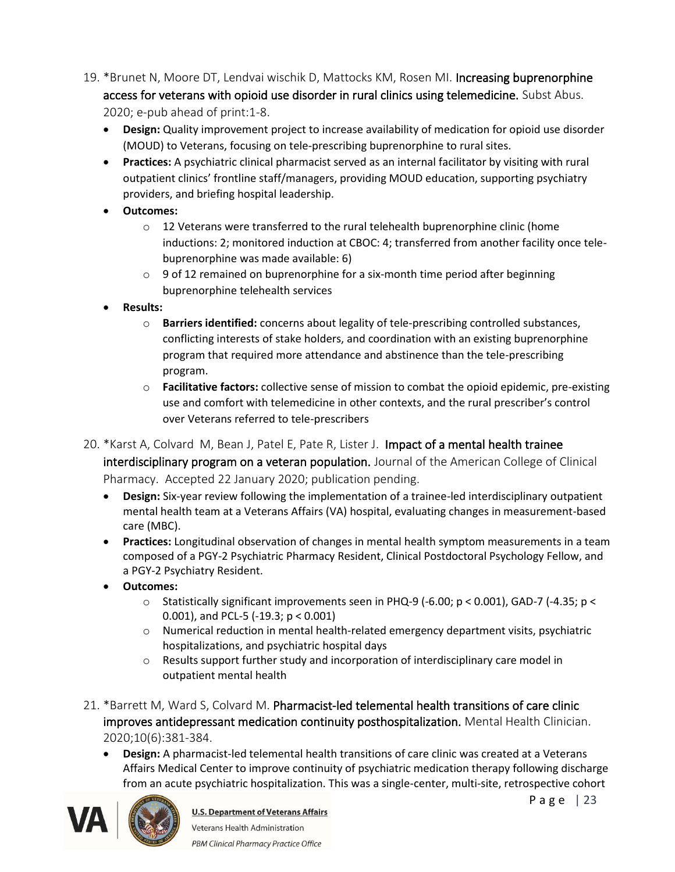- 19. \*Brunet N, Moore DT, Lendvai wischik D, Mattocks KM, Rosen MI. Increasing buprenorphine access for veterans with opioid use disorder in rural clinics using telemedicine. Subst Abus. 2020; e-pub ahead of print:1-8.
	- **Design:** Quality improvement project to increase availability of medication for opioid use disorder (MOUD) to Veterans, focusing on tele-prescribing buprenorphine to rural sites.
	- **Practices:** A psychiatric clinical pharmacist served as an internal facilitator by visiting with rural outpatient clinics' frontline staff/managers, providing MOUD education, supporting psychiatry providers, and briefing hospital leadership.
	- **Outcomes:**
		- $\circ$  12 Veterans were transferred to the rural telehealth buprenorphine clinic (home inductions: 2; monitored induction at CBOC: 4; transferred from another facility once telebuprenorphine was made available: 6)
		- $\circ$  9 of 12 remained on buprenorphine for a six-month time period after beginning buprenorphine telehealth services
	- **Results:**
		- o **Barriers identified:** concerns about legality of tele-prescribing controlled substances, conflicting interests of stake holders, and coordination with an existing buprenorphine program that required more attendance and abstinence than the tele-prescribing program.
		- o **Facilitative factors:** collective sense of mission to combat the opioid epidemic, pre-existing use and comfort with telemedicine in other contexts, and the rural prescriber's control over Veterans referred to tele-prescribers

### 20. \*Karst A, Colvard M, Bean J, Patel E, Pate R, Lister J. Impact of a mental health trainee

interdisciplinary program on a veteran population. Journal of the American College of Clinical Pharmacy. Accepted 22 January 2020; publication pending.

- **Design:** Six-year review following the implementation of a trainee-led interdisciplinary outpatient mental health team at a Veterans Affairs (VA) hospital, evaluating changes in measurement-based care (MBC).
- **Practices:** Longitudinal observation of changes in mental health symptom measurements in a team composed of a PGY-2 Psychiatric Pharmacy Resident, Clinical Postdoctoral Psychology Fellow, and a PGY-2 Psychiatry Resident.
- **Outcomes:** 
	- $\circ$  Statistically significant improvements seen in PHQ-9 (-6.00; p < 0.001), GAD-7 (-4.35; p < 0.001), and PCL-5 (-19.3; p < 0.001)
	- o Numerical reduction in mental health-related emergency department visits, psychiatric hospitalizations, and psychiatric hospital days
	- o Results support further study and incorporation of interdisciplinary care model in outpatient mental health
- 21. \*Barrett M, Ward S, Colvard M. Pharmacist-led telemental health transitions of care clinic improves antidepressant medication continuity posthospitalization. Mental Health Clinician. 2020;10(6):381-384.
	- **Design:** A pharmacist-led telemental health transitions of care clinic was created at a Veterans Affairs Medical Center to improve continuity of psychiatric medication therapy following discharge from an acute psychiatric hospitalization. This was a single-center, multi-site, retrospective cohort



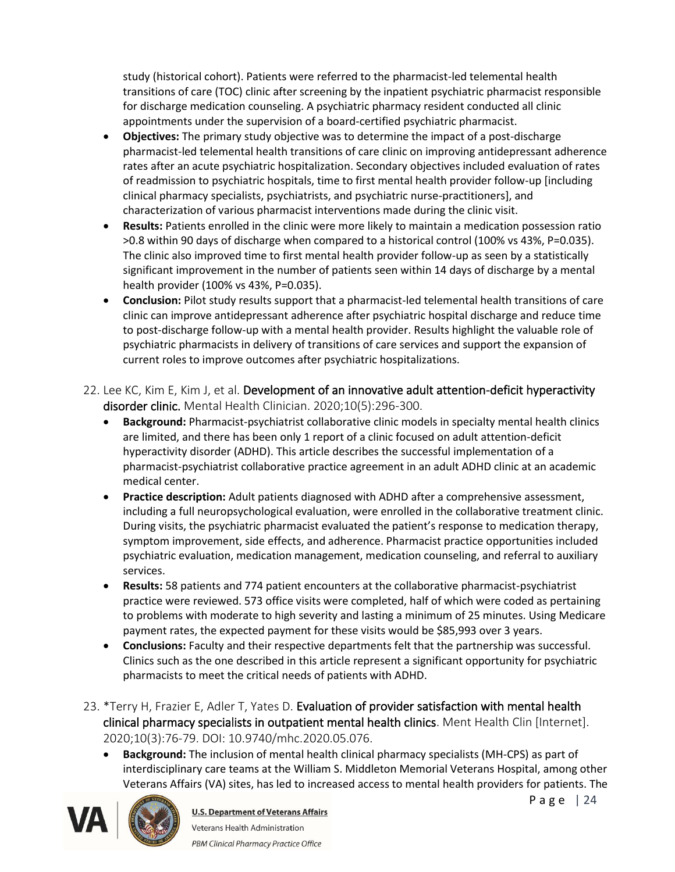study (historical cohort). Patients were referred to the pharmacist-led telemental health transitions of care (TOC) clinic after screening by the inpatient psychiatric pharmacist responsible for discharge medication counseling. A psychiatric pharmacy resident conducted all clinic appointments under the supervision of a board-certified psychiatric pharmacist.

- **Objectives:** The primary study objective was to determine the impact of a post-discharge pharmacist-led telemental health transitions of care clinic on improving antidepressant adherence rates after an acute psychiatric hospitalization. Secondary objectives included evaluation of rates of readmission to psychiatric hospitals, time to first mental health provider follow-up [including clinical pharmacy specialists, psychiatrists, and psychiatric nurse-practitioners], and characterization of various pharmacist interventions made during the clinic visit.
- **Results:** Patients enrolled in the clinic were more likely to maintain a medication possession ratio >0.8 within 90 days of discharge when compared to a historical control (100% vs 43%, P=0.035). The clinic also improved time to first mental health provider follow-up as seen by a statistically significant improvement in the number of patients seen within 14 days of discharge by a mental health provider (100% vs 43%, P=0.035).
- **Conclusion:** Pilot study results support that a pharmacist-led telemental health transitions of care clinic can improve antidepressant adherence after psychiatric hospital discharge and reduce time to post-discharge follow-up with a mental health provider. Results highlight the valuable role of psychiatric pharmacists in delivery of transitions of care services and support the expansion of current roles to improve outcomes after psychiatric hospitalizations.
- 22. Lee KC, Kim E, Kim J, et al. Development of an innovative adult attention-deficit hyperactivity disorder clinic. Mental Health Clinician. 2020;10(5):296-300.
	- **Background:** Pharmacist-psychiatrist collaborative clinic models in specialty mental health clinics are limited, and there has been only 1 report of a clinic focused on adult attention-deficit hyperactivity disorder (ADHD). This article describes the successful implementation of a pharmacist-psychiatrist collaborative practice agreement in an adult ADHD clinic at an academic medical center.
	- **Practice description:** Adult patients diagnosed with ADHD after a comprehensive assessment, including a full neuropsychological evaluation, were enrolled in the collaborative treatment clinic. During visits, the psychiatric pharmacist evaluated the patient's response to medication therapy, symptom improvement, side effects, and adherence. Pharmacist practice opportunities included psychiatric evaluation, medication management, medication counseling, and referral to auxiliary services.
	- **Results:** 58 patients and 774 patient encounters at the collaborative pharmacist-psychiatrist practice were reviewed. 573 office visits were completed, half of which were coded as pertaining to problems with moderate to high severity and lasting a minimum of 25 minutes. Using Medicare payment rates, the expected payment for these visits would be \$85,993 over 3 years.
	- **Conclusions:** Faculty and their respective departments felt that the partnership was successful. Clinics such as the one described in this article represent a significant opportunity for psychiatric pharmacists to meet the critical needs of patients with ADHD.
- 23. \*Terry H, Frazier E, Adler T, Yates D. Evaluation of provider satisfaction with mental health clinical pharmacy specialists in outpatient mental health clinics. Ment Health Clin [Internet]. 2020;10(3):76-79. DOI: 10.9740/mhc.2020.05.076.
	- **Background:** The inclusion of mental health clinical pharmacy specialists (MH-CPS) as part of interdisciplinary care teams at the William S. Middleton Memorial Veterans Hospital, among other Veterans Affairs (VA) sites, has led to increased access to mental health providers for patients. The



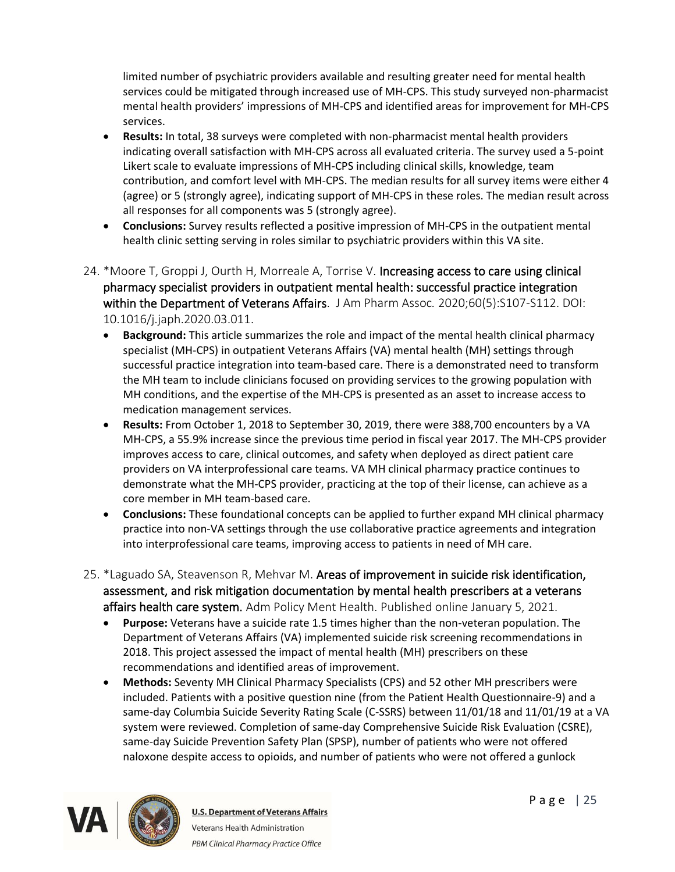limited number of psychiatric providers available and resulting greater need for mental health services could be mitigated through increased use of MH-CPS. This study surveyed non-pharmacist mental health providers' impressions of MH-CPS and identified areas for improvement for MH-CPS services.

- **Results:** In total, 38 surveys were completed with non-pharmacist mental health providers indicating overall satisfaction with MH-CPS across all evaluated criteria. The survey used a 5-point Likert scale to evaluate impressions of MH-CPS including clinical skills, knowledge, team contribution, and comfort level with MH-CPS. The median results for all survey items were either 4 (agree) or 5 (strongly agree), indicating support of MH-CPS in these roles. The median result across all responses for all components was 5 (strongly agree).
- **Conclusions:** Survey results reflected a positive impression of MH-CPS in the outpatient mental health clinic setting serving in roles similar to psychiatric providers within this VA site.
- 24. \*Moore T, Groppi J, Ourth H, Morreale A, Torrise V. Increasing access to care using clinical pharmacy specialist providers in outpatient mental health: successful practice integration within the Department of Veterans Affairs. J Am Pharm Assoc*.* 2020;60(5):S107-S112. DOI: 10.1016/j.japh.2020.03.011.
	- **Background:** This article summarizes the role and impact of the mental health clinical pharmacy specialist (MH-CPS) in outpatient Veterans Affairs (VA) mental health (MH) settings through successful practice integration into team-based care. There is a demonstrated need to transform the MH team to include clinicians focused on providing services to the growing population with MH conditions, and the expertise of the MH-CPS is presented as an asset to increase access to medication management services.
	- **Results:** From October 1, 2018 to September 30, 2019, there were 388,700 encounters by a VA MH-CPS, a 55.9% increase since the previous time period in fiscal year 2017. The MH-CPS provider improves access to care, clinical outcomes, and safety when deployed as direct patient care providers on VA interprofessional care teams. VA MH clinical pharmacy practice continues to demonstrate what the MH-CPS provider, practicing at the top of their license, can achieve as a core member in MH team-based care.
	- **Conclusions:** These foundational concepts can be applied to further expand MH clinical pharmacy practice into non-VA settings through the use collaborative practice agreements and integration into interprofessional care teams, improving access to patients in need of MH care.
- 25. \*Laguado SA, Steavenson R, Mehvar M. Areas of improvement in suicide risk identification, assessment, and risk mitigation documentation by mental health prescribers at a veterans affairs health care system. Adm Policy Ment Health. Published online January 5, 2021.
	- **Purpose:** Veterans have a suicide rate 1.5 times higher than the non-veteran population. The Department of Veterans Affairs (VA) implemented suicide risk screening recommendations in 2018. This project assessed the impact of mental health (MH) prescribers on these recommendations and identified areas of improvement.
	- **Methods:** Seventy MH Clinical Pharmacy Specialists (CPS) and 52 other MH prescribers were included. Patients with a positive question nine (from the Patient Health Questionnaire-9) and a same-day Columbia Suicide Severity Rating Scale (C-SSRS) between 11/01/18 and 11/01/19 at a VA system were reviewed. Completion of same-day Comprehensive Suicide Risk Evaluation (CSRE), same-day Suicide Prevention Safety Plan (SPSP), number of patients who were not offered naloxone despite access to opioids, and number of patients who were not offered a gunlock

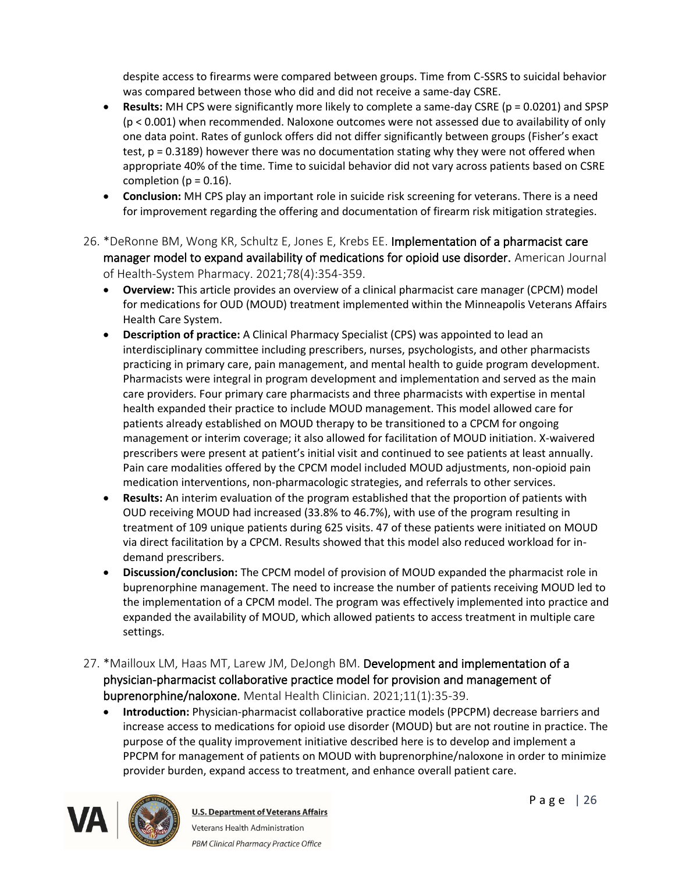despite access to firearms were compared between groups. Time from C-SSRS to suicidal behavior was compared between those who did and did not receive a same-day CSRE.

- **Results:** MH CPS were significantly more likely to complete a same-day CSRE (p = 0.0201) and SPSP (p < 0.001) when recommended. Naloxone outcomes were not assessed due to availability of only one data point. Rates of gunlock offers did not differ significantly between groups (Fisher's exact test, p = 0.3189) however there was no documentation stating why they were not offered when appropriate 40% of the time. Time to suicidal behavior did not vary across patients based on CSRE completion ( $p = 0.16$ ).
- **Conclusion:** MH CPS play an important role in suicide risk screening for veterans. There is a need for improvement regarding the offering and documentation of firearm risk mitigation strategies.
- 26. \*DeRonne BM, Wong KR, Schultz E, Jones E, Krebs EE. Implementation of a pharmacist care manager model to expand availability of medications for opioid use disorder. American Journal of Health-System Pharmacy. 2021;78(4):354-359.
	- **Overview:** This article provides an overview of a clinical pharmacist care manager (CPCM) model for medications for OUD (MOUD) treatment implemented within the Minneapolis Veterans Affairs Health Care System.
	- **Description of practice:** A Clinical Pharmacy Specialist (CPS) was appointed to lead an interdisciplinary committee including prescribers, nurses, psychologists, and other pharmacists practicing in primary care, pain management, and mental health to guide program development. Pharmacists were integral in program development and implementation and served as the main care providers. Four primary care pharmacists and three pharmacists with expertise in mental health expanded their practice to include MOUD management. This model allowed care for patients already established on MOUD therapy to be transitioned to a CPCM for ongoing management or interim coverage; it also allowed for facilitation of MOUD initiation. X-waivered prescribers were present at patient's initial visit and continued to see patients at least annually. Pain care modalities offered by the CPCM model included MOUD adjustments, non-opioid pain medication interventions, non-pharmacologic strategies, and referrals to other services.
	- **Results:** An interim evaluation of the program established that the proportion of patients with OUD receiving MOUD had increased (33.8% to 46.7%), with use of the program resulting in treatment of 109 unique patients during 625 visits. 47 of these patients were initiated on MOUD via direct facilitation by a CPCM. Results showed that this model also reduced workload for indemand prescribers.
	- **Discussion/conclusion:** The CPCM model of provision of MOUD expanded the pharmacist role in buprenorphine management. The need to increase the number of patients receiving MOUD led to the implementation of a CPCM model. The program was effectively implemented into practice and expanded the availability of MOUD, which allowed patients to access treatment in multiple care settings.
- 27. \*Mailloux LM, Haas MT, Larew JM, DeJongh BM. Development and implementation of a physician-pharmacist collaborative practice model for provision and management of buprenorphine/naloxone. Mental Health Clinician. 2021;11(1):35-39.
	- **Introduction:** Physician-pharmacist collaborative practice models (PPCPM) decrease barriers and increase access to medications for opioid use disorder (MOUD) but are not routine in practice. The purpose of the quality improvement initiative described here is to develop and implement a PPCPM for management of patients on MOUD with buprenorphine/naloxone in order to minimize provider burden, expand access to treatment, and enhance overall patient care.

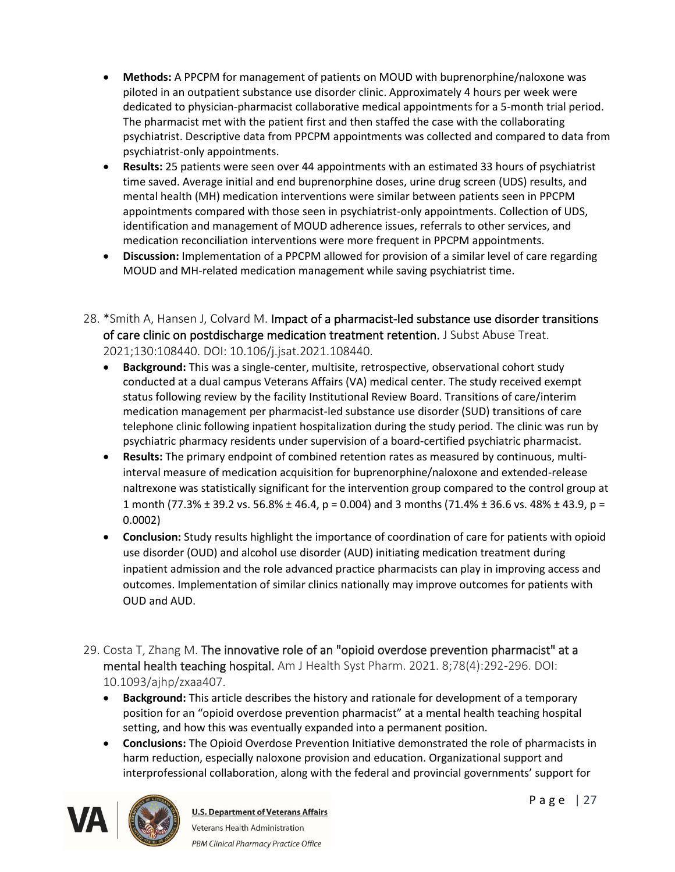- **Methods:** A PPCPM for management of patients on MOUD with buprenorphine/naloxone was piloted in an outpatient substance use disorder clinic. Approximately 4 hours per week were dedicated to physician-pharmacist collaborative medical appointments for a 5-month trial period. The pharmacist met with the patient first and then staffed the case with the collaborating psychiatrist. Descriptive data from PPCPM appointments was collected and compared to data from psychiatrist-only appointments.
- **Results:** 25 patients were seen over 44 appointments with an estimated 33 hours of psychiatrist time saved. Average initial and end buprenorphine doses, urine drug screen (UDS) results, and mental health (MH) medication interventions were similar between patients seen in PPCPM appointments compared with those seen in psychiatrist-only appointments. Collection of UDS, identification and management of MOUD adherence issues, referrals to other services, and medication reconciliation interventions were more frequent in PPCPM appointments.
- **Discussion:** Implementation of a PPCPM allowed for provision of a similar level of care regarding MOUD and MH-related medication management while saving psychiatrist time.
- 28. \*Smith A, Hansen J, Colvard M. Impact of a pharmacist-led substance use disorder transitions of care clinic on postdischarge medication treatment retention. J Subst Abuse Treat. 2021;130:108440. DOI: 10.106/j.jsat.2021.108440.
	- **Background:** This was a single-center, multisite, retrospective, observational cohort study conducted at a dual campus Veterans Affairs (VA) medical center. The study received exempt status following review by the facility Institutional Review Board. Transitions of care/interim medication management per pharmacist-led substance use disorder (SUD) transitions of care telephone clinic following inpatient hospitalization during the study period. The clinic was run by psychiatric pharmacy residents under supervision of a board-certified psychiatric pharmacist.
	- **Results:** The primary endpoint of combined retention rates as measured by continuous, multiinterval measure of medication acquisition for buprenorphine/naloxone and extended-release naltrexone was statistically significant for the intervention group compared to the control group at 1 month (77.3% ± 39.2 vs. 56.8% ± 46.4, p = 0.004) and 3 months (71.4% ± 36.6 vs. 48% ± 43.9, p = 0.0002)
	- **Conclusion:** Study results highlight the importance of coordination of care for patients with opioid use disorder (OUD) and alcohol use disorder (AUD) initiating medication treatment during inpatient admission and the role advanced practice pharmacists can play in improving access and outcomes. Implementation of similar clinics nationally may improve outcomes for patients with OUD and AUD.
- 29. Costa T, Zhang M. The innovative role of an "opioid overdose prevention pharmacist" at a mental health teaching hospital. Am J Health Syst Pharm. 2021. 8;78(4):292-296. DOI: 10.1093/ajhp/zxaa407.
	- **Background:** This article describes the history and rationale for development of a temporary position for an "opioid overdose prevention pharmacist" at a mental health teaching hospital setting, and how this was eventually expanded into a permanent position.
	- **Conclusions:** The Opioid Overdose Prevention Initiative demonstrated the role of pharmacists in harm reduction, especially naloxone provision and education. Organizational support and interprofessional collaboration, along with the federal and provincial governments' support for

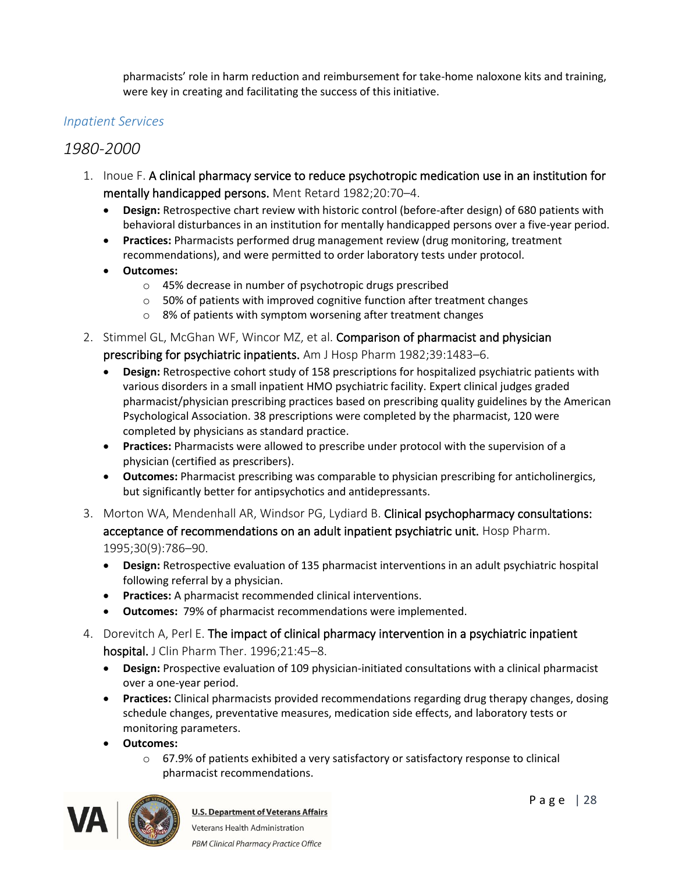pharmacists' role in harm reduction and reimbursement for take-home naloxone kits and training, were key in creating and facilitating the success of this initiative.

#### <span id="page-27-0"></span>*Inpatient Services*

### *1980-2000*

- 1. Inoue F. A clinical pharmacy service to reduce psychotropic medication use in an institution for mentally handicapped persons. Ment Retard 1982;20:70–4.
	- **Design:** Retrospective chart review with historic control (before-after design) of 680 patients with behavioral disturbances in an institution for mentally handicapped persons over a five-year period.
	- **Practices:** Pharmacists performed drug management review (drug monitoring, treatment recommendations), and were permitted to order laboratory tests under protocol.
	- **Outcomes:**
		- o 45% decrease in number of psychotropic drugs prescribed
		- $\circ$  50% of patients with improved cognitive function after treatment changes
		- o 8% of patients with symptom worsening after treatment changes
- 2. Stimmel GL, McGhan WF, Wincor MZ, et al. Comparison of pharmacist and physician prescribing for psychiatric inpatients. Am J Hosp Pharm 1982;39:1483–6.
	- **Design:** Retrospective cohort study of 158 prescriptions for hospitalized psychiatric patients with various disorders in a small inpatient HMO psychiatric facility. Expert clinical judges graded pharmacist/physician prescribing practices based on prescribing quality guidelines by the American Psychological Association. 38 prescriptions were completed by the pharmacist, 120 were completed by physicians as standard practice.
	- **Practices:** Pharmacists were allowed to prescribe under protocol with the supervision of a physician (certified as prescribers).
	- **Outcomes:** Pharmacist prescribing was comparable to physician prescribing for anticholinergics, but significantly better for antipsychotics and antidepressants.
- 3. Morton WA, Mendenhall AR, Windsor PG, Lydiard B. Clinical psychopharmacy consultations: acceptance of recommendations on an adult inpatient psychiatric unit. Hosp Pharm. 1995;30(9):786–90.
	- **Design:** Retrospective evaluation of 135 pharmacist interventions in an adult psychiatric hospital following referral by a physician.
	- **Practices:** A pharmacist recommended clinical interventions.
	- **Outcomes:** 79% of pharmacist recommendations were implemented.
- 4. Dorevitch A, Perl E. The impact of clinical pharmacy intervention in a psychiatric inpatient hospital. J Clin Pharm Ther. 1996;21:45–8.
	- **Design:** Prospective evaluation of 109 physician-initiated consultations with a clinical pharmacist over a one-year period.
	- **Practices:** Clinical pharmacists provided recommendations regarding drug therapy changes, dosing schedule changes, preventative measures, medication side effects, and laboratory tests or monitoring parameters.
	- **Outcomes:**
		- o 67.9% of patients exhibited a very satisfactory or satisfactory response to clinical pharmacist recommendations.

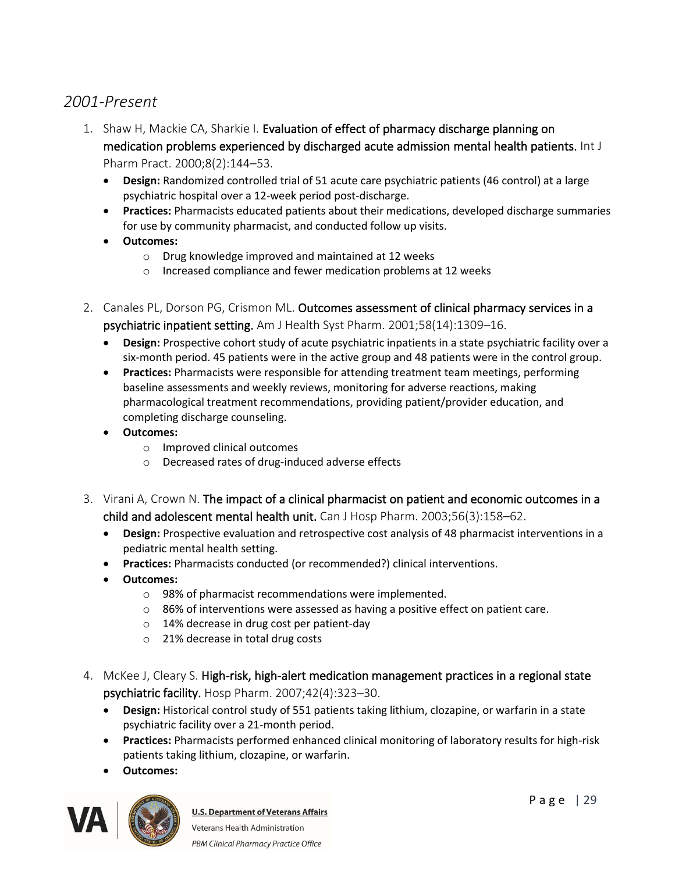## *2001-Present*

- 1. Shaw H, Mackie CA, Sharkie I. Evaluation of effect of pharmacy discharge planning on medication problems experienced by discharged acute admission mental health patients. Int J Pharm Pract. 2000;8(2):144–53.
	- **Design:** Randomized controlled trial of 51 acute care psychiatric patients (46 control) at a large psychiatric hospital over a 12-week period post-discharge.
	- **Practices:** Pharmacists educated patients about their medications, developed discharge summaries for use by community pharmacist, and conducted follow up visits.
	- **Outcomes:** 
		- o Drug knowledge improved and maintained at 12 weeks
		- o Increased compliance and fewer medication problems at 12 weeks
- 2. Canales PL, Dorson PG, Crismon ML. Outcomes assessment of clinical pharmacy services in a psychiatric inpatient setting. Am J Health Syst Pharm. 2001;58(14):1309–16.
	- **Design:** Prospective cohort study of acute psychiatric inpatients in a state psychiatric facility over a six-month period. 45 patients were in the active group and 48 patients were in the control group.
	- **Practices:** Pharmacists were responsible for attending treatment team meetings, performing baseline assessments and weekly reviews, monitoring for adverse reactions, making pharmacological treatment recommendations, providing patient/provider education, and completing discharge counseling.
	- **Outcomes:** 
		- o Improved clinical outcomes
		- o Decreased rates of drug-induced adverse effects
- 3. Virani A, Crown N. The impact of a clinical pharmacist on patient and economic outcomes in a child and adolescent mental health unit. Can J Hosp Pharm. 2003;56(3):158–62.
	- **Design:** Prospective evaluation and retrospective cost analysis of 48 pharmacist interventions in a pediatric mental health setting.
	- **Practices:** Pharmacists conducted (or recommended?) clinical interventions.
	- **Outcomes:**
		- o 98% of pharmacist recommendations were implemented.
		- o 86% of interventions were assessed as having a positive effect on patient care.
		- o 14% decrease in drug cost per patient-day
		- o 21% decrease in total drug costs
- 4. McKee J, Cleary S. High-risk, high-alert medication management practices in a regional state psychiatric facility. Hosp Pharm. 2007;42(4):323–30.
	- **Design:** Historical control study of 551 patients taking lithium, clozapine, or warfarin in a state psychiatric facility over a 21-month period.
	- **Practices:** Pharmacists performed enhanced clinical monitoring of laboratory results for high-risk patients taking lithium, clozapine, or warfarin.
	- **Outcomes:**

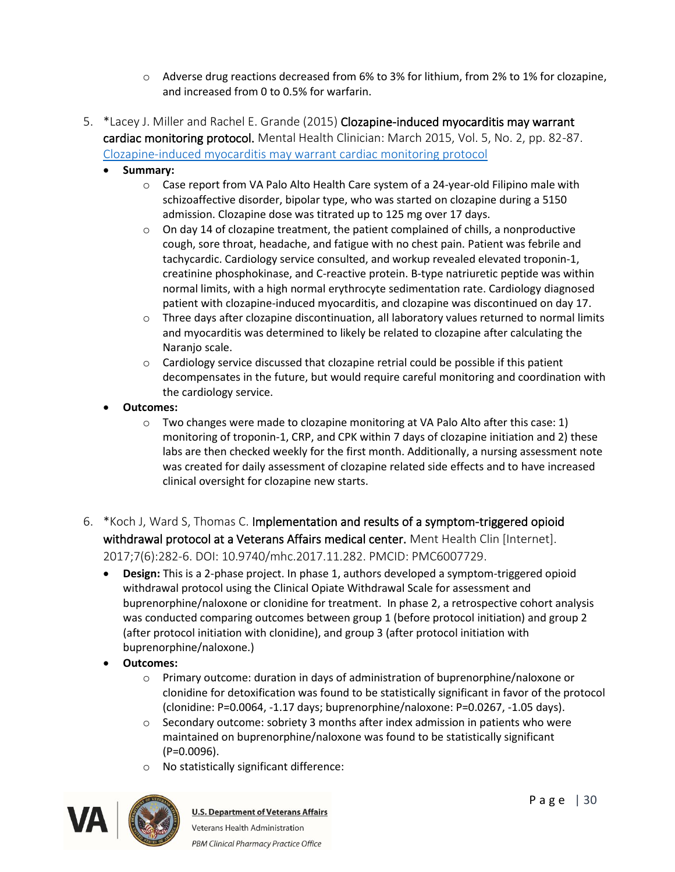- o Adverse drug reactions decreased from 6% to 3% for lithium, from 2% to 1% for clozapine, and increased from 0 to 0.5% for warfarin.
- 5. \*Lacey J. Miller and Rachel E. Grande (2015) Clozapine-induced myocarditis may warrant cardiac monitoring protocol. Mental Health Clinician: March 2015, Vol. 5, No. 2, pp. 82-87. [Clozapine-induced myocarditis may warrant cardiac monitoring protocol](https://doi.org/10.9740/mhc.2015.03.082)
	- **Summary:** 
		- $\circ$  Case report from VA Palo Alto Health Care system of a 24-year-old Filipino male with schizoaffective disorder, bipolar type, who was started on clozapine during a 5150 admission. Clozapine dose was titrated up to 125 mg over 17 days.
		- $\circ$  On day 14 of clozapine treatment, the patient complained of chills, a nonproductive cough, sore throat, headache, and fatigue with no chest pain. Patient was febrile and tachycardic. Cardiology service consulted, and workup revealed elevated troponin-1, creatinine phosphokinase, and C-reactive protein. B-type natriuretic peptide was within normal limits, with a high normal erythrocyte sedimentation rate. Cardiology diagnosed patient with clozapine-induced myocarditis, and clozapine was discontinued on day 17.
		- $\circ$  Three days after clozapine discontinuation, all laboratory values returned to normal limits and myocarditis was determined to likely be related to clozapine after calculating the Naranjo scale.
		- $\circ$  Cardiology service discussed that clozapine retrial could be possible if this patient decompensates in the future, but would require careful monitoring and coordination with the cardiology service.
	- **Outcomes:**
		- $\circ$  Two changes were made to clozapine monitoring at VA Palo Alto after this case: 1) monitoring of troponin-1, CRP, and CPK within 7 days of clozapine initiation and 2) these labs are then checked weekly for the first month. Additionally, a nursing assessment note was created for daily assessment of clozapine related side effects and to have increased clinical oversight for clozapine new starts.
- 6. \*Koch J, Ward S, Thomas C. Implementation and results of a symptom-triggered opioid withdrawal protocol at a Veterans Affairs medical center. Ment Health Clin [Internet]. 2017;7(6):282-6. DOI: 10.9740/mhc.2017.11.282. PMCID: PMC6007729.
	- **Design:** This is a 2-phase project. In phase 1, authors developed a symptom-triggered opioid withdrawal protocol using the Clinical Opiate Withdrawal Scale for assessment and buprenorphine/naloxone or clonidine for treatment. In phase 2, a retrospective cohort analysis was conducted comparing outcomes between group 1 (before protocol initiation) and group 2 (after protocol initiation with clonidine), and group 3 (after protocol initiation with buprenorphine/naloxone.)
	- **Outcomes:**
		- o Primary outcome: duration in days of administration of buprenorphine/naloxone or clonidine for detoxification was found to be statistically significant in favor of the protocol (clonidine: P=0.0064, -1.17 days; buprenorphine/naloxone: P=0.0267, -1.05 days).
		- $\circ$  Secondary outcome: sobriety 3 months after index admission in patients who were maintained on buprenorphine/naloxone was found to be statistically significant (P=0.0096).
		- o No statistically significant difference:

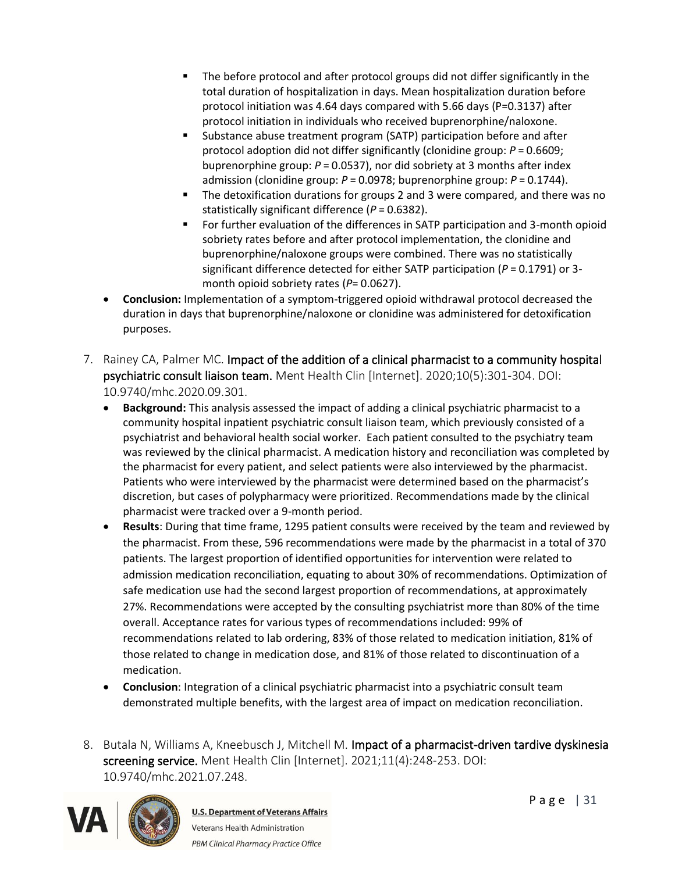- The before protocol and after protocol groups did not differ significantly in the total duration of hospitalization in days. Mean hospitalization duration before protocol initiation was 4.64 days compared with 5.66 days (P=0.3137) after protocol initiation in individuals who received buprenorphine/naloxone.
- Substance abuse treatment program (SATP) participation before and after protocol adoption did not differ significantly (clonidine group: *P* = 0.6609; buprenorphine group: *P* = 0.0537), nor did sobriety at 3 months after index admission (clonidine group: *P* = 0.0978; buprenorphine group: *P* = 0.1744).
- The detoxification durations for groups 2 and 3 were compared, and there was no statistically significant difference (*P* = 0.6382).
- For further evaluation of the differences in SATP participation and 3-month opioid sobriety rates before and after protocol implementation, the clonidine and buprenorphine/naloxone groups were combined. There was no statistically significant difference detected for either SATP participation (*P* = 0.1791) or 3 month opioid sobriety rates (P= 0.0627).
- **Conclusion:** Implementation of a symptom-triggered opioid withdrawal protocol decreased the duration in days that buprenorphine/naloxone or clonidine was administered for detoxification purposes.
- 7. Rainey CA, Palmer MC. Impact of the addition of a clinical pharmacist to a community hospital psychiatric consult liaison team. Ment Health Clin [Internet]. 2020;10(5):301-304. DOI: 10.9740/mhc.2020.09.301.
	- **Background:** This analysis assessed the impact of adding a clinical psychiatric pharmacist to a community hospital inpatient psychiatric consult liaison team, which previously consisted of a psychiatrist and behavioral health social worker. Each patient consulted to the psychiatry team was reviewed by the clinical pharmacist. A medication history and reconciliation was completed by the pharmacist for every patient, and select patients were also interviewed by the pharmacist. Patients who were interviewed by the pharmacist were determined based on the pharmacist's discretion, but cases of polypharmacy were prioritized. Recommendations made by the clinical pharmacist were tracked over a 9-month period.
	- **Results**: During that time frame, 1295 patient consults were received by the team and reviewed by the pharmacist. From these, 596 recommendations were made by the pharmacist in a total of 370 patients. The largest proportion of identified opportunities for intervention were related to admission medication reconciliation, equating to about 30% of recommendations. Optimization of safe medication use had the second largest proportion of recommendations, at approximately 27%. Recommendations were accepted by the consulting psychiatrist more than 80% of the time overall. Acceptance rates for various types of recommendations included: 99% of recommendations related to lab ordering, 83% of those related to medication initiation, 81% of those related to change in medication dose, and 81% of those related to discontinuation of a medication.
	- **Conclusion**: Integration of a clinical psychiatric pharmacist into a psychiatric consult team demonstrated multiple benefits, with the largest area of impact on medication reconciliation.
- 8. Butala N, Williams A, Kneebusch J, Mitchell M. Impact of a pharmacist-driven tardive dyskinesia screening service. Ment Health Clin [Internet]. 2021;11(4):248-253. DOI: 10.9740/mhc.2021.07.248.